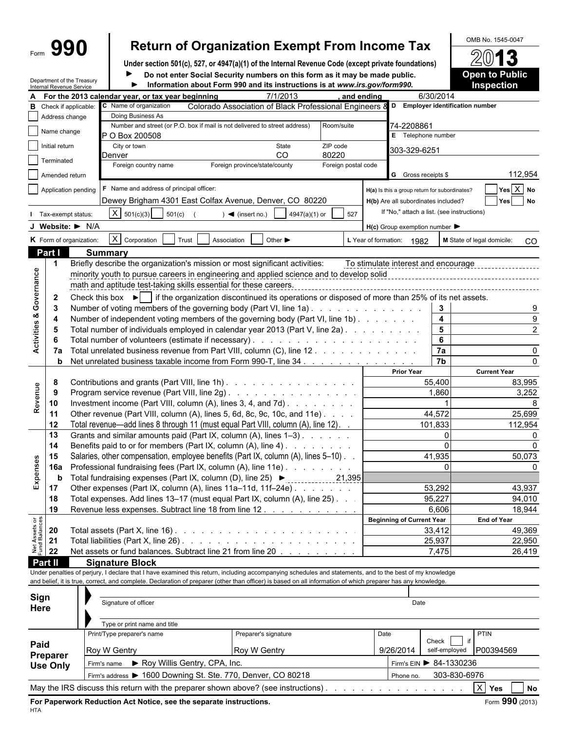## Form  $\mathbf{990}$  Return of Organization Exempt From Income Tax  $\frac{\text{OMB No. 1545-0047}}{2013}$

**Under section 501(c), 527, or 4947(a)(1) of the Internal Revenue Code (except private foundations)**

Department of the Treasury Internal Revenue Service

**Do not enter Social Security numbers on this form as it may be made public. <b>Open to Public Information about Form 990 and its instructions is at** *www.irs.gov/form990.* **Inspection** ь

|                                | Internal Revenue Service |                                                                                                               |                                                                                                                                                              |                              |                               | $1.11$ . The contracted to the state of the contracted that $\alpha$ is at www.ii 3.gov/formalized. |                     |                      |                                                                                      |                                  |    | птэрссиог                        |  |  |  |  |  |
|--------------------------------|--------------------------|---------------------------------------------------------------------------------------------------------------|--------------------------------------------------------------------------------------------------------------------------------------------------------------|------------------------------|-------------------------------|-----------------------------------------------------------------------------------------------------|---------------------|----------------------|--------------------------------------------------------------------------------------|----------------------------------|----|----------------------------------|--|--|--|--|--|
| А                              |                          |                                                                                                               | For the 2013 calendar year, or tax year beginning                                                                                                            |                              |                               | 7/1/2013                                                                                            |                     | , and ending         |                                                                                      | 6/30/2014                        |    |                                  |  |  |  |  |  |
| в                              | Check if applicable:     |                                                                                                               | C Name of organization                                                                                                                                       |                              |                               | Colorado Association of Black Professional Engineers                                                |                     |                      |                                                                                      | D Employer identification number |    |                                  |  |  |  |  |  |
|                                | Address change           |                                                                                                               | Doing Business As                                                                                                                                            |                              |                               | Number and street (or P.O. box if mail is not delivered to street address)                          | Room/suite          |                      |                                                                                      |                                  |    |                                  |  |  |  |  |  |
|                                | Name change              |                                                                                                               | P O Box 200508                                                                                                                                               |                              |                               |                                                                                                     |                     |                      | 74-2208861<br>E Telephone number                                                     |                                  |    |                                  |  |  |  |  |  |
|                                | Initial return           |                                                                                                               | City or town                                                                                                                                                 |                              |                               | State                                                                                               | ZIP code            |                      |                                                                                      |                                  |    |                                  |  |  |  |  |  |
|                                |                          |                                                                                                               | Denver                                                                                                                                                       |                              |                               | CO <sub>1</sub>                                                                                     | 80220               |                      | 303-329-6251                                                                         |                                  |    |                                  |  |  |  |  |  |
|                                | Terminated               |                                                                                                               | Foreign country name                                                                                                                                         |                              | Foreign province/state/county |                                                                                                     | Foreign postal code |                      |                                                                                      |                                  |    |                                  |  |  |  |  |  |
|                                | Amended return           |                                                                                                               |                                                                                                                                                              |                              |                               |                                                                                                     |                     |                      | G Gross receipts \$                                                                  |                                  |    | 112,954                          |  |  |  |  |  |
|                                |                          | Application pending                                                                                           | F Name and address of principal officer:                                                                                                                     |                              |                               |                                                                                                     |                     |                      |                                                                                      |                                  |    | Yes X No                         |  |  |  |  |  |
|                                |                          |                                                                                                               | Dewey Brigham 4301 East Colfax Avenue, Denver, CO 80220                                                                                                      |                              |                               |                                                                                                     |                     |                      | H(a) Is this a group return for subordinates?<br>H(b) Are all subordinates included? |                                  |    |                                  |  |  |  |  |  |
|                                |                          |                                                                                                               |                                                                                                                                                              |                              |                               |                                                                                                     |                     |                      |                                                                                      |                                  |    | Yes No                           |  |  |  |  |  |
|                                | Tax-exempt status:       |                                                                                                               | $X   501(c)(3)$ 501(c)                                                                                                                                       |                              | $\sim$ (insert no.)           | 4947(a)(1) or                                                                                       | 527                 |                      | If "No," attach a list. (see instructions)                                           |                                  |    |                                  |  |  |  |  |  |
|                                |                          | J Website: $\blacktriangleright$ N/A                                                                          |                                                                                                                                                              |                              |                               |                                                                                                     |                     |                      | $H(c)$ Group exemption number $\blacktriangleright$                                  |                                  |    |                                  |  |  |  |  |  |
|                                |                          | K Form of organization:                                                                                       | $\overline{X}$ Corporation                                                                                                                                   | Trust                        | Association                   | Other $\blacktriangleright$                                                                         |                     | L Year of formation: | 1982                                                                                 |                                  |    | M State of legal domicile:<br>CO |  |  |  |  |  |
|                                | Part I                   |                                                                                                               | <b>Summary</b>                                                                                                                                               |                              |                               |                                                                                                     |                     |                      |                                                                                      |                                  |    |                                  |  |  |  |  |  |
|                                | $\mathbf 1$              |                                                                                                               | Briefly describe the organization's mission or most significant activities:                                                                                  |                              |                               |                                                                                                     |                     |                      | To stimulate interest and encourage                                                  |                                  |    |                                  |  |  |  |  |  |
|                                |                          |                                                                                                               | minority youth to pursue careers in engineering and applied science and to develop solid                                                                     |                              |                               |                                                                                                     |                     |                      |                                                                                      |                                  |    |                                  |  |  |  |  |  |
| Activities & Governance        |                          |                                                                                                               | math and aptitude test-taking skills essential for these careers.                                                                                            |                              |                               |                                                                                                     |                     |                      |                                                                                      |                                  |    |                                  |  |  |  |  |  |
|                                | $\mathbf{2}$             |                                                                                                               | Check this box $\blacktriangleright$   if the organization discontinued its operations or disposed of more than 25% of its net assets.                       |                              |                               |                                                                                                     |                     |                      |                                                                                      |                                  |    |                                  |  |  |  |  |  |
|                                | 3                        |                                                                                                               | Number of voting members of the governing body (Part VI, line 1a)                                                                                            |                              |                               |                                                                                                     |                     |                      |                                                                                      | 3                                |    |                                  |  |  |  |  |  |
|                                | 4                        |                                                                                                               | Number of independent voting members of the governing body (Part VI, line 1b)                                                                                |                              |                               |                                                                                                     |                     |                      |                                                                                      | $\overline{\mathbf{4}}$          |    |                                  |  |  |  |  |  |
|                                | 5                        |                                                                                                               | Total number of individuals employed in calendar year 2013 (Part V, line 2a)                                                                                 |                              |                               |                                                                                                     |                     |                      |                                                                                      | 5                                |    |                                  |  |  |  |  |  |
|                                | 6                        |                                                                                                               |                                                                                                                                                              |                              |                               |                                                                                                     |                     |                      |                                                                                      | 6                                |    |                                  |  |  |  |  |  |
|                                | 7a                       |                                                                                                               | Total unrelated business revenue from Part VIII, column (C), line 12.                                                                                        |                              |                               |                                                                                                     |                     |                      |                                                                                      | 7a                               |    | $\Omega$                         |  |  |  |  |  |
|                                | b                        |                                                                                                               | Net unrelated business taxable income from Form 990-T, line 34.                                                                                              |                              |                               |                                                                                                     |                     |                      |                                                                                      | $\overline{7b}$                  |    |                                  |  |  |  |  |  |
|                                |                          |                                                                                                               |                                                                                                                                                              |                              |                               |                                                                                                     |                     |                      | <b>Prior Year</b>                                                                    |                                  |    | <b>Current Year</b>              |  |  |  |  |  |
|                                | 8                        | Contributions and grants (Part VIII, line 1h)                                                                 |                                                                                                                                                              |                              |                               |                                                                                                     |                     |                      |                                                                                      | 55,400                           |    | 83,995                           |  |  |  |  |  |
| Revenue                        | 9                        |                                                                                                               |                                                                                                                                                              |                              |                               |                                                                                                     |                     |                      |                                                                                      | 1,860                            |    | 3,252                            |  |  |  |  |  |
|                                | 10                       | Program service revenue (Part VIII, line 2g)<br>Investment income (Part VIII, column (A), lines 3, 4, and 7d) |                                                                                                                                                              |                              |                               |                                                                                                     |                     |                      |                                                                                      |                                  |    |                                  |  |  |  |  |  |
|                                | 11                       |                                                                                                               | Other revenue (Part VIII, column (A), lines 5, 6d, 8c, 9c, 10c, and 11e).                                                                                    |                              |                               |                                                                                                     |                     |                      |                                                                                      | 44,572                           |    | 25,699                           |  |  |  |  |  |
|                                | 12                       |                                                                                                               | Total revenue—add lines 8 through 11 (must equal Part VIII, column (A), line 12).                                                                            |                              |                               |                                                                                                     |                     |                      |                                                                                      | 101,833                          |    | 112,954                          |  |  |  |  |  |
|                                | 13                       |                                                                                                               | Grants and similar amounts paid (Part IX, column (A), lines 1-3)                                                                                             |                              |                               |                                                                                                     |                     |                      |                                                                                      | $\mathbf 0$                      |    |                                  |  |  |  |  |  |
|                                | 14                       |                                                                                                               | Benefits paid to or for members (Part IX, column (A), line 4)                                                                                                |                              |                               |                                                                                                     |                     |                      |                                                                                      | $\Omega$                         |    |                                  |  |  |  |  |  |
|                                | 15                       |                                                                                                               | Salaries, other compensation, employee benefits (Part IX, column (A), lines 5-10)                                                                            |                              |                               |                                                                                                     |                     |                      |                                                                                      | 41,935                           |    | 50,073                           |  |  |  |  |  |
|                                | 16a                      |                                                                                                               | Professional fundraising fees (Part IX, column (A), line 11e)                                                                                                |                              |                               |                                                                                                     |                     |                      |                                                                                      | $\Omega$                         |    |                                  |  |  |  |  |  |
| Expenses                       | b                        |                                                                                                               | Total fundraising expenses (Part IX, column (D), line 25) ▶ ______________                                                                                   |                              |                               |                                                                                                     | 21,395              |                      |                                                                                      |                                  |    |                                  |  |  |  |  |  |
|                                | 17                       |                                                                                                               | Other expenses (Part IX, column (A), lines 11a-11d, 11f-24e)                                                                                                 |                              |                               |                                                                                                     |                     |                      |                                                                                      | 53,292                           |    | 43,937                           |  |  |  |  |  |
|                                | 18                       |                                                                                                               | Total expenses. Add lines 13-17 (must equal Part IX, column (A), line 25)                                                                                    |                              |                               |                                                                                                     |                     |                      |                                                                                      | 95,227                           |    | 94,010                           |  |  |  |  |  |
|                                | 19                       |                                                                                                               | Revenue less expenses. Subtract line 18 from line 12                                                                                                         |                              |                               |                                                                                                     |                     |                      |                                                                                      | 6,606                            |    | 18,944                           |  |  |  |  |  |
|                                |                          |                                                                                                               |                                                                                                                                                              |                              |                               |                                                                                                     |                     |                      | <b>Beginning of Current Year</b>                                                     |                                  |    | <b>End of Year</b>               |  |  |  |  |  |
|                                | 20                       |                                                                                                               |                                                                                                                                                              |                              |                               |                                                                                                     |                     |                      |                                                                                      | 33,412                           |    | 49,369                           |  |  |  |  |  |
|                                | 21                       |                                                                                                               |                                                                                                                                                              |                              |                               |                                                                                                     |                     |                      |                                                                                      | 25,937                           |    | 22,950                           |  |  |  |  |  |
| Net Assets or<br>Fund Balances | 22                       |                                                                                                               | Net assets or fund balances. Subtract line 21 from line 20                                                                                                   |                              |                               |                                                                                                     |                     |                      |                                                                                      | 7,475                            |    | 26,419                           |  |  |  |  |  |
|                                | Part II                  |                                                                                                               | <b>Signature Block</b>                                                                                                                                       |                              |                               |                                                                                                     |                     |                      |                                                                                      |                                  |    |                                  |  |  |  |  |  |
|                                |                          |                                                                                                               | Under penalties of perjury, I declare that I have examined this return, including accompanying schedules and statements, and to the best of my knowledge     |                              |                               |                                                                                                     |                     |                      |                                                                                      |                                  |    |                                  |  |  |  |  |  |
|                                |                          |                                                                                                               | and belief, it is true, correct, and complete. Declaration of preparer (other than officer) is based on all information of which preparer has any knowledge. |                              |                               |                                                                                                     |                     |                      |                                                                                      |                                  |    |                                  |  |  |  |  |  |
|                                |                          |                                                                                                               |                                                                                                                                                              |                              |                               |                                                                                                     |                     |                      |                                                                                      |                                  |    |                                  |  |  |  |  |  |
| Sign                           |                          |                                                                                                               | Signature of officer                                                                                                                                         |                              |                               |                                                                                                     |                     |                      | Date                                                                                 |                                  |    |                                  |  |  |  |  |  |
| Here                           |                          |                                                                                                               |                                                                                                                                                              |                              |                               |                                                                                                     |                     |                      |                                                                                      |                                  |    |                                  |  |  |  |  |  |
|                                |                          |                                                                                                               | Type or print name and title                                                                                                                                 |                              |                               |                                                                                                     |                     |                      |                                                                                      |                                  |    |                                  |  |  |  |  |  |
|                                |                          |                                                                                                               | Print/Type preparer's name                                                                                                                                   |                              |                               | Preparer's signature                                                                                |                     | Date                 |                                                                                      |                                  |    | PTIN                             |  |  |  |  |  |
| Paid                           |                          |                                                                                                               |                                                                                                                                                              |                              |                               |                                                                                                     |                     |                      |                                                                                      | Check                            | if |                                  |  |  |  |  |  |
|                                | Preparer                 |                                                                                                               | Roy W Gentry                                                                                                                                                 |                              |                               | Roy W Gentry                                                                                        |                     |                      | 9/26/2014                                                                            |                                  |    | self-employed P00394569          |  |  |  |  |  |
|                                | <b>Use Only</b>          |                                                                                                               | Firm's name                                                                                                                                                  | Roy Willis Gentry, CPA, Inc. |                               |                                                                                                     |                     |                      |                                                                                      | Firm's EIN ▶ 84-1330236          |    |                                  |  |  |  |  |  |
|                                |                          |                                                                                                               | Firm's address > 1600 Downing St. Ste. 770, Denver, CO 80218                                                                                                 |                              |                               |                                                                                                     |                     |                      | Phone no.                                                                            | 303-830-6976                     |    |                                  |  |  |  |  |  |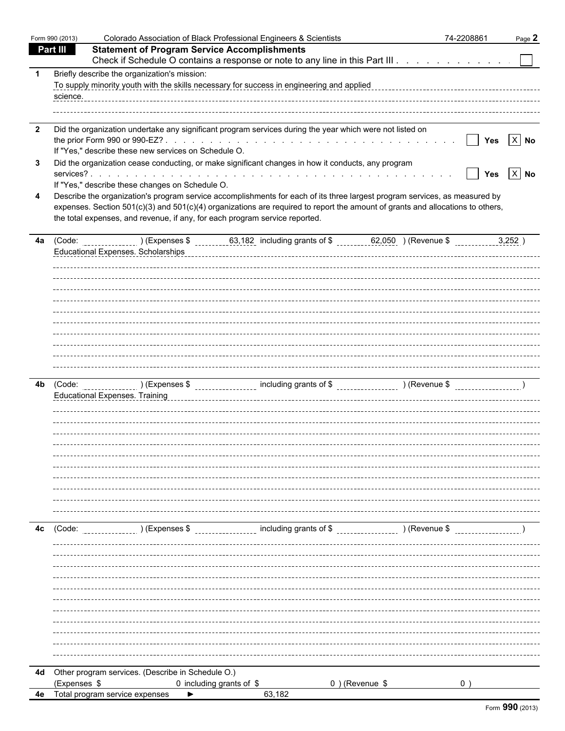|                         | Form 990 (2013) | Colorado Association of Black Professional Engineers & Scientists                                                                                                                                                                                                                                                                           | 74-2208861     | Page 2             |
|-------------------------|-----------------|---------------------------------------------------------------------------------------------------------------------------------------------------------------------------------------------------------------------------------------------------------------------------------------------------------------------------------------------|----------------|--------------------|
|                         | <b>Part III</b> | <b>Statement of Program Service Accomplishments</b>                                                                                                                                                                                                                                                                                         |                |                    |
|                         |                 | Check if Schedule O contains a response or note to any line in this Part III                                                                                                                                                                                                                                                                |                |                    |
| -1                      |                 | Briefly describe the organization's mission:<br>To supply minority youth with the skills necessary for success in engineering and applied                                                                                                                                                                                                   |                |                    |
| $\overline{\mathbf{2}}$ |                 | Did the organization undertake any significant program services during the year which were not listed on<br>If "Yes," describe these new services on Schedule O.                                                                                                                                                                            | $\mathbf{1}$   | Yes $X$ No         |
| 3                       |                 | Did the organization cease conducting, or make significant changes in how it conducts, any program<br>If "Yes," describe these changes on Schedule O.                                                                                                                                                                                       | $\blacksquare$ | Yes $\boxed{X}$ No |
| 4                       |                 | Describe the organization's program service accomplishments for each of its three largest program services, as measured by<br>expenses. Section 501(c)(3) and 501(c)(4) organizations are required to report the amount of grants and allocations to others,<br>the total expenses, and revenue, if any, for each program service reported. |                |                    |
|                         |                 | 4a (Code: __________________) (Expenses \$ _________63,182 including grants of \$ _______62,050 ) (Revenue \$ __________<br>Educational Expenses. Scholarships                                                                                                                                                                              |                | 3,252)             |
|                         |                 |                                                                                                                                                                                                                                                                                                                                             |                |                    |
|                         |                 |                                                                                                                                                                                                                                                                                                                                             |                |                    |
| 4b                      |                 | (Code: _________________)(Expenses \$ _________________ including grants of \$ ______________________)(Revenue \$ ___________________)<br><b>Educational Expenses. Training</b>                                                                                                                                                             |                |                    |
|                         |                 |                                                                                                                                                                                                                                                                                                                                             |                |                    |
|                         |                 |                                                                                                                                                                                                                                                                                                                                             |                |                    |
| 4c                      | (Code:          | ) (Expenses $\frac{1}{2}$ [100] including grants of $\frac{1}{2}$ [100] (Revenue $\frac{1}{2}$ ) (Revenue $\frac{1}{2}$                                                                                                                                                                                                                     |                |                    |
|                         |                 |                                                                                                                                                                                                                                                                                                                                             |                |                    |
|                         |                 |                                                                                                                                                                                                                                                                                                                                             |                |                    |
|                         |                 |                                                                                                                                                                                                                                                                                                                                             |                |                    |
|                         |                 | 4d Other program services. (Describe in Schedule O.)                                                                                                                                                                                                                                                                                        |                |                    |
|                         | (Expenses \$    | $0$ ) (Revenue \$<br>0 including grants of \$                                                                                                                                                                                                                                                                                               |                |                    |
| 4e                      |                 | Total program service expenses<br>63,182                                                                                                                                                                                                                                                                                                    |                |                    |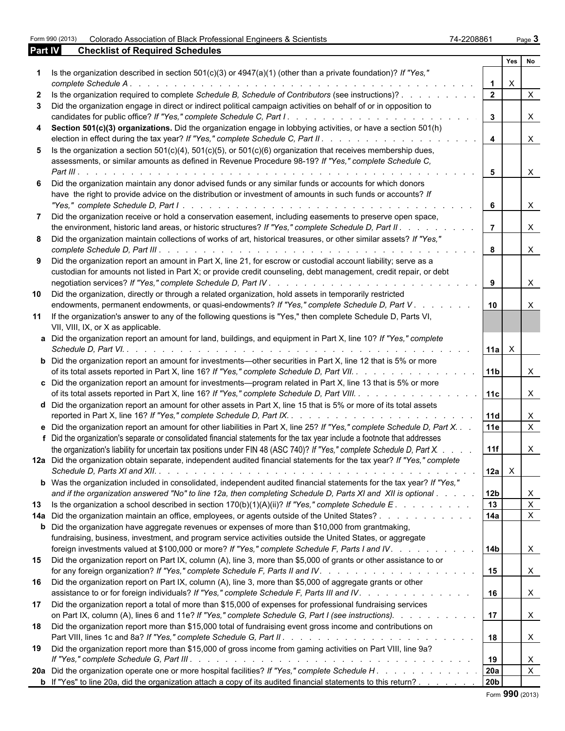| Form 990 (2013) Colorado Association of Black Professional Engineers & Scientists | 74-2208861<br>Page $3$ |
|-----------------------------------------------------------------------------------|------------------------|
|                                                                                   |                        |

| 74-2208861 | Page, |
|------------|-------|

| <b>Part IV</b> | <b>Checklist of Required Schedules</b>                                                                                                                                                                                                                       |                 |          |                           |  |
|----------------|--------------------------------------------------------------------------------------------------------------------------------------------------------------------------------------------------------------------------------------------------------------|-----------------|----------|---------------------------|--|
|                |                                                                                                                                                                                                                                                              |                 | Yes      | <b>No</b>                 |  |
|                | Is the organization described in section $501(c)(3)$ or $4947(a)(1)$ (other than a private foundation)? If "Yes,"<br>complete Schedule A.                                                                                                                    | $\mathbf 1$     | $\times$ |                           |  |
|                | Is the organization required to complete Schedule B, Schedule of Contributors (see instructions)?                                                                                                                                                            | $\overline{2}$  |          | $\mathsf{X}$              |  |
| 3.             | Did the organization engage in direct or indirect political campaign activities on behalf of or in opposition to<br>candidates for public office? If "Yes," complete Schedule C, Part I.                                                                     | $\mathbf{3}$    |          | $\boldsymbol{\mathsf{X}}$ |  |
|                | .<br>4 Section 501(c)(3) organizations. Did the organization engage in lobbying activities, or have a section 501(h)                                                                                                                                         |                 |          |                           |  |
|                | election in effect during the tax year? If "Yes," complete Schedule C, Part II. .<br>and the company of the company of                                                                                                                                       | $\overline{4}$  |          | $\boldsymbol{\mathsf{X}}$ |  |
|                | 5 Is the organization a section $501(c)(4)$ , $501(c)(5)$ , or $501(c)(6)$ organization that receives membership dues,<br>assessments, or similar amounts as defined in Revenue Procedure 98-19? If "Yes," complete Schedule C,<br>$Part III. \ldots \ldots$ | 5               |          | $\boldsymbol{\mathsf{X}}$ |  |
|                |                                                                                                                                                                                                                                                              |                 |          |                           |  |
|                | Did the organization maintain any donor advised funds or any similar funds or accounts for which donors<br>have the right to provide advice on the distribution or investment of amounts in such funds or accounts? If                                       | 6               |          | $\boldsymbol{\mathsf{X}}$ |  |
|                | Did the organization receive or hold a conservation easement, including easements to preserve open space,<br>the environment, historic land areas, or historic structures? If "Yes," complete Schedule D, Part II.                                           | $\overline{7}$  |          | $\boldsymbol{\mathsf{X}}$ |  |
|                | 8 Did the organization maintain collections of works of art, historical treasures, or other similar assets? If "Yes,"                                                                                                                                        | 8               |          | $\mathsf{X}$              |  |
|                | 9 Did the organization report an amount in Part X, line 21, for escrow or custodial account liability; serve as a<br>custodian for amounts not listed in Part X; or provide credit counseling, debt management, credit repair, or debt                       |                 |          |                           |  |
|                |                                                                                                                                                                                                                                                              | 9               |          | $\boldsymbol{\mathsf{X}}$ |  |
| 10             | Did the organization, directly or through a related organization, hold assets in temporarily restricted<br>endowments, permanent endowments, or quasi-endowments? If "Yes," complete Schedule D, Part V.                                                     | 10              |          | $\times$                  |  |
|                | 11 If the organization's answer to any of the following questions is "Yes," then complete Schedule D, Parts VI,<br>VII, VIII, IX, or X as applicable.                                                                                                        |                 |          |                           |  |
|                | a Did the organization report an amount for land, buildings, and equipment in Part X, line 10? If "Yes," complete<br>Schedule D, Part VI. .                                                                                                                  | $11a$ $\times$  |          |                           |  |
|                | <b>b</b> Did the organization report an amount for investments—other securities in Part X, line 12 that is 5% or more<br>of its total assets reported in Part X, line 16? If "Yes," complete Schedule D, Part VII.                                           | 11b             |          | $\times$                  |  |
|                | c Did the organization report an amount for investments—program related in Part X, line 13 that is 5% or more<br>of its total assets reported in Part X, line 16? If "Yes," complete Schedule D, Part VIII.                                                  | 11c             |          | $\times$                  |  |
|                | d Did the organization report an amount for other assets in Part X, line 15 that is 5% or more of its total assets                                                                                                                                           | 11d             |          | $\mathsf{X}$              |  |
|                | e Did the organization report an amount for other liabilities in Part X, line 25? If "Yes," complete Schedule D, Part X. .<br>f Did the organization's separate or consolidated financial statements for the tax year include a footnote that addresses      | 11e             |          | $\mathsf{X}$              |  |
|                | the organization's liability for uncertain tax positions under FIN 48 (ASC 740)? If "Yes," complete Schedule D, Part X.<br>12a Did the organization obtain separate, independent audited financial statements for the tax year? If "Yes," complete           | 11f             |          | $\mathsf{X}$              |  |
|                | <b>b</b> Was the organization included in consolidated, independent audited financial statements for the tax year? If "Yes,"                                                                                                                                 | $12a \times$    |          |                           |  |
|                | and if the organization answered "No" to line 12a, then completing Schedule D, Parts XI and XII is optional                                                                                                                                                  | 12 <sub>b</sub> |          | $\boldsymbol{\mathsf{X}}$ |  |
| 13             | Is the organization a school described in section $170(b)(1)(A)(ii)?$ If "Yes," complete Schedule E.                                                                                                                                                         | 13              |          | $\mathsf{X}$              |  |
|                | 14a Did the organization maintain an office, employees, or agents outside of the United States?                                                                                                                                                              | 14a             |          | $\mathsf{X}$              |  |
|                | <b>b</b> Did the organization have aggregate revenues or expenses of more than \$10,000 from grantmaking,<br>fundraising, business, investment, and program service activities outside the United States, or aggregate                                       |                 |          |                           |  |
|                | foreign investments valued at \$100,000 or more? If "Yes," complete Schedule F, Parts I and IV.                                                                                                                                                              | 14b             |          | $\mathsf{X}$              |  |
| 15             | Did the organization report on Part IX, column (A), line 3, more than \$5,000 of grants or other assistance to or                                                                                                                                            | 15              |          | $\boldsymbol{\mathsf{X}}$ |  |
| 16             | Did the organization report on Part IX, column (A), line 3, more than \$5,000 of aggregate grants or other<br>assistance to or for foreign individuals? If "Yes," complete Schedule F, Parts III and IV.                                                     | 16              |          | $\boldsymbol{\mathsf{X}}$ |  |
| 17             | Did the organization report a total of more than \$15,000 of expenses for professional fundraising services<br>on Part IX, column (A), lines 6 and 11e? If "Yes," complete Schedule G, Part I (see instructions).                                            | 17              |          | $\boldsymbol{\mathsf{X}}$ |  |
|                | 18 Did the organization report more than \$15,000 total of fundraising event gross income and contributions on                                                                                                                                               | 18              |          | $\boldsymbol{\mathsf{X}}$ |  |
|                | 19 Did the organization report more than \$15,000 of gross income from gaming activities on Part VIII, line 9a?                                                                                                                                              | 19              |          | $\mathsf{X}$              |  |
|                |                                                                                                                                                                                                                                                              | 20a             |          | $\boldsymbol{\mathsf{X}}$ |  |
|                | <b>b</b> If "Yes" to line 20a, did the organization attach a copy of its audited financial statements to this return?                                                                                                                                        | 20 <sub>b</sub> |          |                           |  |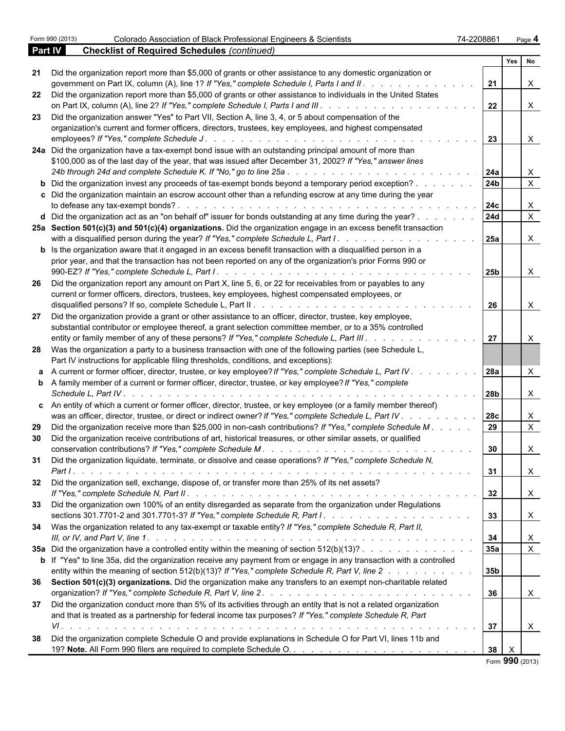|         | Form 990 (2013)      | Colorado Association of Black Professional Engineers & Scientists                                                                        | 74-2208861      |     | Page 4                    |  |
|---------|----------------------|------------------------------------------------------------------------------------------------------------------------------------------|-----------------|-----|---------------------------|--|
| Part IV |                      | <b>Checklist of Required Schedules (continued)</b>                                                                                       |                 |     |                           |  |
|         |                      |                                                                                                                                          |                 | Yes | No                        |  |
|         |                      | 21 Did the organization report more than \$5,000 of grants or other assistance to any domestic organization or                           |                 |     |                           |  |
|         |                      | government on Part IX, column (A), line 1? If "Yes," complete Schedule I, Parts I and II.                                                | 21              |     | $\mathsf{X}$              |  |
|         |                      | 22 Did the organization report more than \$5,000 of grants or other assistance to individuals in the United States                       |                 |     |                           |  |
|         |                      |                                                                                                                                          | 22              |     | $\mathsf{X}$              |  |
| 23      |                      | Did the organization answer "Yes" to Part VII, Section A, line 3, 4, or 5 about compensation of the                                      |                 |     |                           |  |
|         |                      | organization's current and former officers, directors, trustees, key employees, and highest compensated                                  |                 |     |                           |  |
|         |                      | employees? If "Yes," complete Schedule J.                                                                                                | 23              |     | $\mathsf{X}$              |  |
|         |                      | 24a Did the organization have a tax-exempt bond issue with an outstanding principal amount of more than                                  |                 |     |                           |  |
|         |                      | \$100,000 as of the last day of the year, that was issued after December 31, 2002? If "Yes," answer lines                                |                 |     |                           |  |
|         |                      | 24b through 24d and complete Schedule K. If "No," go to line 25a                                                                         | 24a             |     | $\mathsf{X}$              |  |
|         |                      | <b>b</b> Did the organization invest any proceeds of tax-exempt bonds beyond a temporary period exception?                               | 24 <sub>b</sub> |     | $\mathsf{X}$              |  |
|         |                      | c Did the organization maintain an escrow account other than a refunding escrow at any time during the year                              |                 |     |                           |  |
|         |                      | to defease any tax-exempt bonds?.                                                                                                        | 24c             |     | $\mathsf{X}$              |  |
|         |                      | d Did the organization act as an "on behalf of" issuer for bonds outstanding at any time during the year?                                | 24d             |     | $\boldsymbol{\mathsf{X}}$ |  |
|         |                      | 25a Section 501(c)(3) and 501(c)(4) organizations. Did the organization engage in an excess benefit transaction                          |                 |     |                           |  |
|         |                      | with a disqualified person during the year? If "Yes," complete Schedule L, Part I.<br>and the state of the state of the                  | <b>25a</b>      |     | $\mathsf{X}$              |  |
|         |                      | <b>b</b> Is the organization aware that it engaged in an excess benefit transaction with a disqualified person in a                      |                 |     |                           |  |
|         |                      | prior year, and that the transaction has not been reported on any of the organization's prior Forms 990 or                               |                 |     |                           |  |
|         |                      |                                                                                                                                          | 25b             |     | $\mathsf{X}$              |  |
| 26      |                      | Did the organization report any amount on Part X, line 5, 6, or 22 for receivables from or payables to any                               |                 |     |                           |  |
|         |                      | current or former officers, directors, trustees, key employees, highest compensated employees, or                                        |                 |     |                           |  |
|         |                      | disqualified persons? If so, complete Schedule L, Part II.                                                                               | 26              |     | $\mathsf{X}$              |  |
| 27      |                      | Did the organization provide a grant or other assistance to an officer, director, trustee, key employee,                                 |                 |     |                           |  |
|         |                      | substantial contributor or employee thereof, a grant selection committee member, or to a 35% controlled                                  |                 |     |                           |  |
|         |                      | entity or family member of any of these persons? If "Yes," complete Schedule L, Part III.                                                | 27              |     | $\mathsf{X}$              |  |
| 28      |                      | Was the organization a party to a business transaction with one of the following parties (see Schedule L,                                |                 |     |                           |  |
|         |                      | Part IV instructions for applicable filing thresholds, conditions, and exceptions):                                                      |                 |     |                           |  |
|         |                      |                                                                                                                                          | 28a             |     | $\times$                  |  |
|         |                      | a A current or former officer, director, trustee, or key employee? If "Yes," complete Schedule L, Part IV.                               |                 |     |                           |  |
|         |                      | <b>b</b> A family member of a current or former officer, director, trustee, or key employee? If "Yes," complete                          |                 |     |                           |  |
|         | Schedule L. Part IV. |                                                                                                                                          | 28 <sub>b</sub> |     | $\mathsf{X}$              |  |
|         |                      | c An entity of which a current or former officer, director, trustee, or key employee (or a family member thereof)                        |                 |     |                           |  |
|         |                      | was an officer, director, trustee, or direct or indirect owner? If "Yes," complete Schedule L, Part IV.<br>and a straight and a straight | 28 <sub>c</sub> |     | $\mathsf{X}$              |  |
| 29      |                      | Did the organization receive more than \$25,000 in non-cash contributions? If "Yes," complete Schedule M.                                | 29              |     | $\boldsymbol{\mathsf{X}}$ |  |
|         |                      | Did the organization receive contributions of art, historical treasures, or other similar assets, or qualified                           |                 |     |                           |  |
|         |                      |                                                                                                                                          | $ 30\rangle$    |     | $\overline{\phantom{a}}$  |  |
|         |                      | 31 Did the organization liquidate, terminate, or dissolve and cease operations? If "Yes," complete Schedule N,                           |                 |     |                           |  |
|         |                      |                                                                                                                                          | 31              |     | $\mathsf{X}$              |  |
|         |                      | 32 Did the organization sell, exchange, dispose of, or transfer more than 25% of its net assets?                                         |                 |     |                           |  |
|         |                      |                                                                                                                                          |                 |     |                           |  |
|         |                      |                                                                                                                                          | 32              |     | $\mathsf{X}$              |  |
| 33      |                      | Did the organization own 100% of an entity disregarded as separate from the organization under Regulations                               |                 |     |                           |  |
|         |                      |                                                                                                                                          | 33              |     | $\mathsf{X}$              |  |
| 34      |                      | Was the organization related to any tax-exempt or taxable entity? If "Yes," complete Schedule R, Part II,                                |                 |     |                           |  |
|         |                      |                                                                                                                                          | 34              |     | $\mathsf{X}$              |  |
|         |                      | 35a Did the organization have a controlled entity within the meaning of section 512(b)(13)?                                              | 35a             |     | $\mathsf{X}$              |  |
|         |                      | <b>b</b> If "Yes" to line 35a, did the organization receive any payment from or engage in any transaction with a controlled              |                 |     |                           |  |
|         |                      | entity within the meaning of section 512(b)(13)? If "Yes," complete Schedule R, Part V, line 2.                                          | 35 <sub>b</sub> |     |                           |  |
|         |                      | 36 Section 501(c)(3) organizations. Did the organization make any transfers to an exempt non-charitable related                          |                 |     |                           |  |
|         |                      |                                                                                                                                          | 36              |     | $\mathsf{X}$              |  |
|         |                      | 37 Did the organization conduct more than 5% of its activities through an entity that is not a related organization                      |                 |     |                           |  |
|         |                      | and that is treated as a partnership for federal income tax purposes? If "Yes," complete Schedule R, Part                                |                 |     |                           |  |
|         |                      |                                                                                                                                          | 37              |     | $\mathsf{X}$              |  |
|         |                      |                                                                                                                                          |                 |     |                           |  |
| 38      |                      | Did the organization complete Schedule O and provide explanations in Schedule O for Part VI, lines 11b and                               |                 |     |                           |  |
|         |                      |                                                                                                                                          | 38              |     |                           |  |

Form **990** (2013)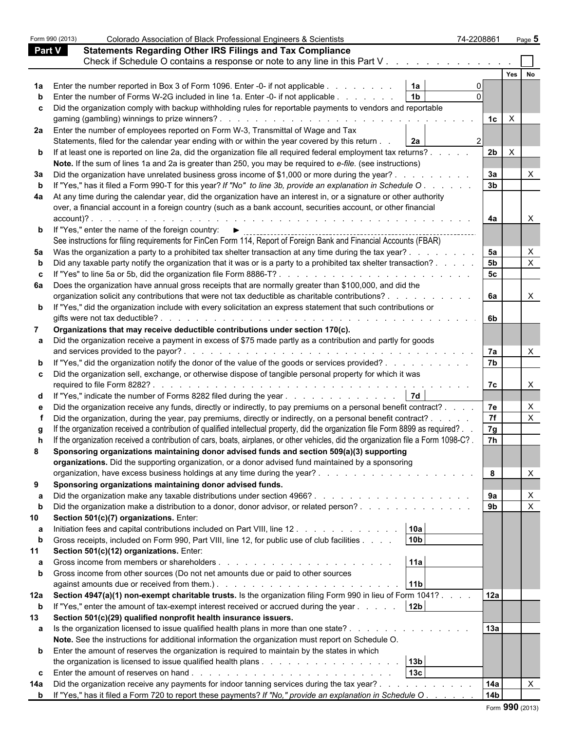|               | Form 990 (2013) | Colorado Association of Black Professional Engineers & Scientists                                                                                                                                                                                     | 74-2208861     |              | Page 5                    |
|---------------|-----------------|-------------------------------------------------------------------------------------------------------------------------------------------------------------------------------------------------------------------------------------------------------|----------------|--------------|---------------------------|
| <b>Part V</b> |                 | <b>Statements Regarding Other IRS Filings and Tax Compliance</b>                                                                                                                                                                                      |                |              |                           |
|               |                 | Check if Schedule O contains a response or note to any line in this Part V                                                                                                                                                                            |                |              |                           |
|               |                 |                                                                                                                                                                                                                                                       |                | Yes          | No                        |
|               |                 |                                                                                                                                                                                                                                                       |                |              |                           |
|               |                 | 1a<br>Enter the number reported in Box 3 of Form 1096. Enter -0- if not applicable                                                                                                                                                                    |                |              |                           |
|               |                 | 1 <sub>b</sub><br>Enter the number of Forms W-2G included in line 1a. Enter -0- if not applicable                                                                                                                                                     |                |              |                           |
| c             |                 | Did the organization comply with backup withholding rules for reportable payments to vendors and reportable                                                                                                                                           | $1c \mid X$    |              |                           |
| 2a l          |                 | Enter the number of employees reported on Form W-3, Transmittal of Wage and Tax<br>Statements, filed for the calendar year ending with or within the year covered by this return<br>2a                                                                |                |              |                           |
|               |                 | <b>b</b> If at least one is reported on line 2a, did the organization file all required federal employment tax returns?                                                                                                                               | 2b             | $\mathsf{X}$ |                           |
|               |                 | Note. If the sum of lines 1a and 2a is greater than 250, you may be required to e-file. (see instructions)                                                                                                                                            |                |              |                           |
| За            |                 | Did the organization have unrelated business gross income of \$1,000 or more during the year?.                                                                                                                                                        | 3a             |              |                           |
| b             |                 | If "Yes," has it filed a Form 990-T for this year? If "No" to line 3b, provide an explanation in Schedule O.                                                                                                                                          | 3 <sub>b</sub> |              |                           |
| 4a            |                 | At any time during the calendar year, did the organization have an interest in, or a signature or other authority                                                                                                                                     |                |              |                           |
|               |                 | over, a financial account in a foreign country (such as a bank account, securities account, or other financial                                                                                                                                        |                |              |                           |
|               | account)?.      |                                                                                                                                                                                                                                                       | 4a             |              | X                         |
|               |                 | <b>b</b> If "Yes," enter the name of the foreign country: $\blacktriangleright$                                                                                                                                                                       |                |              |                           |
|               |                 | See instructions for filing requirements for FinCen Form 114, Report of Foreign Bank and Financial Accounts (FBAR)                                                                                                                                    |                |              |                           |
| 5a            |                 | Was the organization a party to a prohibited tax shelter transaction at any time during the tax year?.                                                                                                                                                | 5a             |              | X                         |
|               |                 | Did any taxable party notify the organization that it was or is a party to a prohibited tax shelter transaction?                                                                                                                                      | 5 <sub>b</sub> |              | $\boldsymbol{\mathsf{X}}$ |
| c             |                 | If "Yes" to line 5a or 5b, did the organization file Form 8886-T?                                                                                                                                                                                     | 5 <sub>c</sub> |              |                           |
|               |                 |                                                                                                                                                                                                                                                       |                |              |                           |
| 6а            |                 | Does the organization have annual gross receipts that are normally greater than \$100,000, and did the<br>organization solicit any contributions that were not tax deductible as charitable contributions?<br>and the contract of the contract of the | <b>6a</b>      |              | $\mathsf{X}$              |
|               |                 |                                                                                                                                                                                                                                                       |                |              |                           |
|               |                 | <b>b</b> If "Yes," did the organization include with every solicitation an express statement that such contributions or                                                                                                                               |                |              |                           |
|               |                 |                                                                                                                                                                                                                                                       | 6b             |              |                           |
|               |                 | Organizations that may receive deductible contributions under section 170(c).                                                                                                                                                                         |                |              |                           |
|               |                 | Did the organization receive a payment in excess of \$75 made partly as a contribution and partly for goods                                                                                                                                           |                |              |                           |
|               |                 |                                                                                                                                                                                                                                                       | 7a             |              | X                         |
|               |                 | "Yes," did the organization notify the donor of the value of the goods or services provided?                                                                                                                                                          | 7 <sub>b</sub> |              |                           |
| C.            |                 | Did the organization sell, exchange, or otherwise dispose of tangible personal property for which it was                                                                                                                                              |                |              |                           |
|               |                 |                                                                                                                                                                                                                                                       | 7c             |              | X                         |
|               |                 | 7d<br>d If "Yes," indicate the number of Forms 8282 filed during the year                                                                                                                                                                             |                |              |                           |
| е             |                 | Did the organization receive any funds, directly or indirectly, to pay premiums on a personal benefit contract?                                                                                                                                       | 7e             |              | $\times$                  |
|               |                 | Did the organization, during the year, pay premiums, directly or indirectly, on a personal benefit contract? .                                                                                                                                        | 7f             |              | $\boldsymbol{\mathsf{X}}$ |
|               |                 | If the organization received a contribution of qualified intellectual property, did the organization file Form 8899 as required? .                                                                                                                    | 7g             |              |                           |
|               |                 | If the organization received a contribution of cars, boats, airplanes, or other vehicles, did the organization file a Form 1098-C?                                                                                                                    | 7h             |              |                           |
| 8             |                 | Sponsoring organizations maintaining donor advised funds and section 509(a)(3) supporting                                                                                                                                                             |                |              |                           |
|               |                 | organizations. Did the supporting organization, or a donor advised fund maintained by a sponsoring                                                                                                                                                    |                |              |                           |
|               |                 |                                                                                                                                                                                                                                                       | 8              |              | X                         |
| 9             |                 | Sponsoring organizations maintaining donor advised funds.                                                                                                                                                                                             |                |              |                           |
|               |                 |                                                                                                                                                                                                                                                       |                |              |                           |
|               |                 |                                                                                                                                                                                                                                                       | 9a             |              | $\mathsf{X}$              |
| b             |                 | Did the organization make a distribution to a donor, donor advisor, or related person?                                                                                                                                                                | 9 <sub>b</sub> |              | $\boldsymbol{\mathsf{X}}$ |
| 10            |                 | Section 501(c)(7) organizations. Enter:                                                                                                                                                                                                               |                |              |                           |
|               |                 | 10a<br>Initiation fees and capital contributions included on Part VIII, line 12.                                                                                                                                                                      |                |              |                           |
| b             |                 | 10 <sub>b</sub><br>Gross receipts, included on Form 990, Part VIII, line 12, for public use of club facilities                                                                                                                                        |                |              |                           |
|               |                 | Section 501(c)(12) organizations. Enter:                                                                                                                                                                                                              |                |              |                           |
| а             |                 | 11a                                                                                                                                                                                                                                                   |                |              |                           |
| $\mathbf{b}$  |                 | Gross income from other sources (Do not net amounts due or paid to other sources                                                                                                                                                                      |                |              |                           |
|               |                 | 11b                                                                                                                                                                                                                                                   |                |              |                           |
| 12a           |                 | Section 4947(a)(1) non-exempt charitable trusts. Is the organization filing Form 990 in lieu of Form 1041?                                                                                                                                            | 12a            |              |                           |
| b             |                 | 12 <sub>b</sub><br>If "Yes," enter the amount of tax-exempt interest received or accrued during the year                                                                                                                                              |                |              |                           |
| 13            |                 | Section 501(c)(29) qualified nonprofit health insurance issuers.                                                                                                                                                                                      |                |              |                           |
| a             |                 | Is the organization licensed to issue qualified health plans in more than one state?                                                                                                                                                                  | 13a            |              |                           |
|               |                 | Note. See the instructions for additional information the organization must report on Schedule O.                                                                                                                                                     |                |              |                           |
| b             |                 | Enter the amount of reserves the organization is required to maintain by the states in which                                                                                                                                                          |                |              |                           |
|               |                 | 13 <sub>b</sub>                                                                                                                                                                                                                                       |                |              |                           |
|               |                 | 13 <sub>c</sub>                                                                                                                                                                                                                                       |                |              |                           |
| C             |                 |                                                                                                                                                                                                                                                       | 14a            |              | $\times$                  |
| 14a           |                 | Did the organization receive any payments for indoor tanning services during the tax year?.                                                                                                                                                           | 14b            |              |                           |
|               |                 | <b>b</b> If "Yes," has it filed a Form 720 to report these payments? If "No," provide an explanation in Schedule O.                                                                                                                                   |                |              |                           |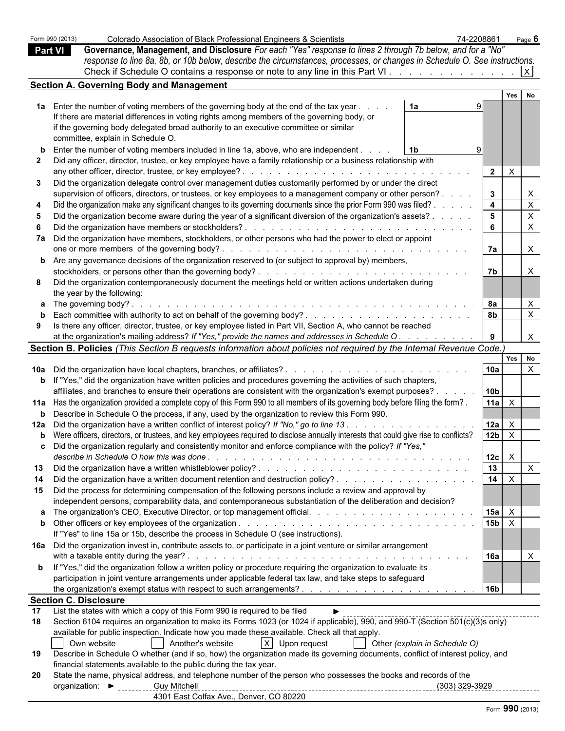|                | Form 990 (2013) | Colorado Association of Black Professional Engineers & Scientists                                                                            | 74-2208861      |                           | Page 6         |  |
|----------------|-----------------|----------------------------------------------------------------------------------------------------------------------------------------------|-----------------|---------------------------|----------------|--|
| <b>Part VI</b> |                 | Governance, Management, and Disclosure For each "Yes" response to lines 2 through 7b below, and for a "No"                                   |                 |                           |                |  |
|                |                 | response to line 8a, 8b, or 10b below, describe the circumstances, processes, or changes in Schedule O. See instructions.                    |                 |                           |                |  |
|                |                 |                                                                                                                                              |                 |                           |                |  |
|                |                 | <b>Section A. Governing Body and Management</b>                                                                                              |                 |                           |                |  |
|                |                 |                                                                                                                                              |                 |                           | Yes No         |  |
|                |                 | 1a Enter the number of voting members of the governing body at the end of the tax year<br>1a                                                 |                 |                           |                |  |
|                |                 | If there are material differences in voting rights among members of the governing body, or                                                   |                 |                           |                |  |
|                |                 | if the governing body delegated broad authority to an executive committee or similar                                                         |                 |                           |                |  |
|                |                 | committee, explain in Schedule O.                                                                                                            |                 |                           |                |  |
|                |                 | <b>b</b> Enter the number of voting members included in line 1a, above, who are independent.<br>1b                                           |                 |                           |                |  |
|                |                 | Did any officer, director, trustee, or key employee have a family relationship or a business relationship with                               |                 |                           |                |  |
|                |                 |                                                                                                                                              | $\overline{2}$  | $\mathsf{X}$              |                |  |
| 3              |                 | Did the organization delegate control over management duties customarily performed by or under the direct                                    |                 |                           |                |  |
|                |                 | supervision of officers, directors, or trustees, or key employees to a management company or other person?.                                  | $\mathbf{3}$    |                           | X              |  |
|                |                 | Did the organization make any significant changes to its governing documents since the prior Form 990 was filed? .                           | $\overline{4}$  |                           | $\pmb{\times}$ |  |
|                |                 | Did the organization become aware during the year of a significant diversion of the organization's assets?.                                  | $5^{\circ}$     |                           | $\mathsf X$    |  |
|                |                 | Did the organization have members or stockholders?.                                                                                          |                 |                           | $\pmb{\times}$ |  |
|                |                 | 7a Did the organization have members, stockholders, or other persons who had the power to elect or appoint                                   |                 |                           |                |  |
|                |                 |                                                                                                                                              | 7а              |                           | X              |  |
|                |                 | <b>b</b> Are any governance decisions of the organization reserved to (or subject to approval by) members,                                   |                 |                           |                |  |
|                |                 | stockholders, or persons other than the governing body?                                                                                      | <b>7b</b>       |                           | X              |  |
| 8              |                 | Did the organization contemporaneously document the meetings held or written actions undertaken during                                       |                 |                           |                |  |
|                |                 | the year by the following:                                                                                                                   |                 |                           |                |  |
|                |                 | <b>a</b> The governing body?                                                                                                                 | 8а              |                           | X              |  |
|                |                 |                                                                                                                                              |                 |                           | $\mathsf{X}$   |  |
| 9              |                 | Is there any officer, director, trustee, or key employee listed in Part VII, Section A, who cannot be reached                                |                 |                           |                |  |
|                |                 | at the organization's mailing address? If "Yes," provide the names and addresses in Schedule O.                                              |                 |                           | $\mathsf{X}$   |  |
|                |                 | Section B. Policies (This Section B requests information about policies not required by the Internal Revenue Code.)                          |                 |                           |                |  |
|                |                 |                                                                                                                                              |                 |                           | Yes No         |  |
|                |                 |                                                                                                                                              | 10a             |                           | $\times$       |  |
|                |                 | <b>b</b> If "Yes," did the organization have written policies and procedures governing the activities of such chapters,                      |                 |                           |                |  |
|                |                 | affiliates, and branches to ensure their operations are consistent with the organization's exempt purposes?.                                 | 10 <sub>b</sub> |                           |                |  |
|                |                 | 11a Has the organization provided a complete copy of this Form 990 to all members of its governing body before filing the form?.             | 11a             | $\mathsf{X}$              |                |  |
| $\mathbf b$    |                 | Describe in Schedule O the process, if any, used by the organization to review this Form 990.                                                |                 |                           |                |  |
|                |                 | 12a Did the organization have a written conflict of interest policy? If "No," go to line 13.                                                 | 12a             | $\boldsymbol{\mathsf{X}}$ |                |  |
|                |                 | <b>b</b> Were officers, directors, or trustees, and key employees required to disclose annually interests that could give rise to conflicts? | 12 <sub>b</sub> | $\mathsf{X}$              |                |  |
| c              |                 | Did the organization regularly and consistently monitor and enforce compliance with the policy? If "Yes."                                    |                 |                           |                |  |
|                |                 |                                                                                                                                              | 12c             | $\mathsf{X}$              |                |  |
| 13             |                 |                                                                                                                                              | 13              |                           | $\mathsf{X}$   |  |
| 14             |                 |                                                                                                                                              | 14              | $\mathsf{X}$              |                |  |
|                |                 |                                                                                                                                              |                 |                           |                |  |
|                |                 | 15 Did the process for determining compensation of the following persons include a review and approval by                                    |                 |                           |                |  |
|                |                 | independent persons, comparability data, and contemporaneous substantiation of the deliberation and decision?                                | 15a             | $\mathsf{X}$              |                |  |
|                |                 |                                                                                                                                              | 15 <sub>b</sub> | $\mathsf{X}$              |                |  |
|                |                 |                                                                                                                                              |                 |                           |                |  |
|                |                 | If "Yes" to line 15a or 15b, describe the process in Schedule O (see instructions).                                                          |                 |                           |                |  |
|                |                 | 16a Did the organization invest in, contribute assets to, or participate in a joint venture or similar arrangement                           |                 |                           |                |  |
|                |                 |                                                                                                                                              | 16a             |                           | $\times$       |  |
|                |                 | b If "Yes," did the organization follow a written policy or procedure requiring the organization to evaluate its                             |                 |                           |                |  |
|                |                 | participation in joint venture arrangements under applicable federal tax law, and take steps to safeguard                                    | l 16b           |                           |                |  |
|                |                 | <b>Section C. Disclosure</b>                                                                                                                 |                 |                           |                |  |
| 17             |                 | List the states with which a copy of this Form 990 is required to be filed                                                                   |                 |                           |                |  |
| 18             |                 | Section 6104 requires an organization to make its Forms 1023 (or 1024 if applicable), 990, and 990-T (Section 501(c)(3)s only)               |                 |                           |                |  |
|                |                 | available for public inspection. Indicate how you made these available. Check all that apply.                                                |                 |                           |                |  |
|                | l I             | $X$ Upon request<br>Own website<br>Another's website<br>Other (explain in Schedule O)                                                        |                 |                           |                |  |
| 19             |                 | Describe in Schedule O whether (and if so, how) the organization made its governing documents, conflict of interest policy, and              |                 |                           |                |  |
|                |                 | financial statements available to the public during the tax year.                                                                            |                 |                           |                |  |
| 20             |                 | State the name, physical address, and telephone number of the person who possesses the books and records of the                              |                 |                           |                |  |
|                |                 | <b>Guy Mitchell</b><br>(303) 329-3929<br>organization: $\triangleright$                                                                      |                 |                           |                |  |
|                |                 | 4301 East Colfax Ave., Denver, CO 80220                                                                                                      |                 |                           |                |  |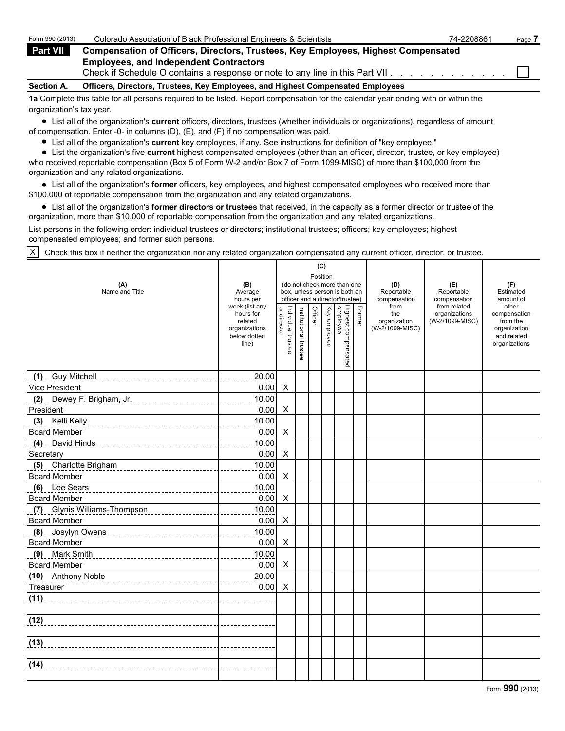| Form 990 (2013)   | Colorado Association of Black Professional Engineers & Scientists                                                                 | 74-2208861 | Page |
|-------------------|-----------------------------------------------------------------------------------------------------------------------------------|------------|------|
| Part VII          | <b>Compensation of Officers, Directors, Trustees, Key Employees, Highest Compensated</b>                                          |            |      |
|                   | <b>Employees, and Independent Contractors</b><br>Check if Schedule O contains a response or note to any line in this Part VII.    |            |      |
| <b>Section A.</b> | Officers, Directors, Trustees, Key Employees, and Highest Compensated Employees                                                   |            |      |
|                   | 1a Complete this table for all persons required to be listed. Report compensation for the calendar vear ending with or within the |            |      |

**1a** Complete this table for all persons required to be listed. Report compensation for the calendar year ending with or within the organization's tax year.

List all of the organization's **current** officers, directors, trustees (whether individuals or organizations), regardless of amount of compensation. Enter -0- in columns (D), (E), and (F) if no compensation was paid.

List all of the organization's **current** key employees, if any. See instructions for definition of "key employee."

List the organization's five **current** highest compensated employees (other than an officer, director, trustee, or key employee) who received reportable compensation (Box 5 of Form W-2 and/or Box 7 of Form 1099-MISC) of more than \$100,000 from the organization and any related organizations.

List all of the organization's **former** officers, key employees, and highest compensated employees who received more than \$100,000 of reportable compensation from the organization and any related organizations.

List all of the organization's **former directors or trustees** that received, in the capacity as a former director or trustee of the organization, more than \$10,000 of reportable compensation from the organization and any related organizations.

List persons in the following order: individual trustees or directors; institutional trustees; officers; key employees; highest compensated employees; and former such persons.

X Check this box if neither the organization nor any related organization compensated any current officer, director, or trustee.

|                                                        |                                                                                  |                                   |                       |          | (C)          |                                                                                                 |               |                                                |                                                  |                                                                                   |
|--------------------------------------------------------|----------------------------------------------------------------------------------|-----------------------------------|-----------------------|----------|--------------|-------------------------------------------------------------------------------------------------|---------------|------------------------------------------------|--------------------------------------------------|-----------------------------------------------------------------------------------|
| (A)<br>Name and Title                                  | (B)<br>Average<br>hours per                                                      |                                   |                       | Position |              | (do not check more than one<br>box, unless person is both an<br>officer and a director/trustee) |               | (D)<br>Reportable<br>compensation              | (E)<br>Reportable<br>compensation                | (F)<br>Estimated<br>amount of                                                     |
|                                                        | week (list any<br>hours for<br>related<br>organizations<br>below dotted<br>line) | or director<br>Individual trustee | Institutional trustee | Officer  | Key employee | Highest compensated<br>employee                                                                 | <b>Former</b> | from<br>the<br>organization<br>(W-2/1099-MISC) | from related<br>organizations<br>(W-2/1099-MISC) | other<br>compensation<br>from the<br>organization<br>and related<br>organizations |
| (1) Guy Mitchell                                       | 20.00                                                                            |                                   |                       |          |              |                                                                                                 |               |                                                |                                                  |                                                                                   |
| Vice President                                         | 0.00                                                                             | X                                 |                       |          |              |                                                                                                 |               |                                                |                                                  |                                                                                   |
| (2) Dewey F. Brigham, Jr.                              | 10.00<br>.                                                                       |                                   |                       |          |              |                                                                                                 |               |                                                |                                                  |                                                                                   |
| President                                              | 0.00                                                                             | X                                 |                       |          |              |                                                                                                 |               |                                                |                                                  |                                                                                   |
| (3) Kelli Kelly <b>Manual According to Kelli Kelly</b> | 10.00                                                                            |                                   |                       |          |              |                                                                                                 |               |                                                |                                                  |                                                                                   |
| <b>Board Member</b>                                    | 0.00                                                                             | X                                 |                       |          |              |                                                                                                 |               |                                                |                                                  |                                                                                   |
| (4) David Hinds                                        | 10.00                                                                            |                                   |                       |          |              |                                                                                                 |               |                                                |                                                  |                                                                                   |
| Secretary                                              | 0.00                                                                             | X                                 |                       |          |              |                                                                                                 |               |                                                |                                                  |                                                                                   |
| (5) Charlotte Brigham                                  | 10.00                                                                            |                                   |                       |          |              |                                                                                                 |               |                                                |                                                  |                                                                                   |
| <b>Board Member</b>                                    | 0.00                                                                             | X                                 |                       |          |              |                                                                                                 |               |                                                |                                                  |                                                                                   |
| (6) Lee Sears                                          | 10.00                                                                            |                                   |                       |          |              |                                                                                                 |               |                                                |                                                  |                                                                                   |
| <b>Board Member</b>                                    | 0.00                                                                             | X                                 |                       |          |              |                                                                                                 |               |                                                |                                                  |                                                                                   |
| (7) Glynis Williams-Thompson                           | 10.00                                                                            |                                   |                       |          |              |                                                                                                 |               |                                                |                                                  |                                                                                   |
| <b>Board Member</b>                                    | 0.00                                                                             | X                                 |                       |          |              |                                                                                                 |               |                                                |                                                  |                                                                                   |
| (8) Josylyn Owens                                      | 10.00                                                                            |                                   |                       |          |              |                                                                                                 |               |                                                |                                                  |                                                                                   |
| <b>Board Member</b>                                    | 0.00                                                                             | X                                 |                       |          |              |                                                                                                 |               |                                                |                                                  |                                                                                   |
| (9) Mark Smith                                         | 10.00                                                                            |                                   |                       |          |              |                                                                                                 |               |                                                |                                                  |                                                                                   |
| <b>Board Member</b>                                    | 0.00                                                                             | X                                 |                       |          |              |                                                                                                 |               |                                                |                                                  |                                                                                   |
| (10) Anthony Noble                                     | 20.00                                                                            |                                   |                       |          |              |                                                                                                 |               |                                                |                                                  |                                                                                   |
| Treasurer                                              | 0.00                                                                             | Χ                                 |                       |          |              |                                                                                                 |               |                                                |                                                  |                                                                                   |
| (11)                                                   |                                                                                  |                                   |                       |          |              |                                                                                                 |               |                                                |                                                  |                                                                                   |
|                                                        |                                                                                  |                                   |                       |          |              |                                                                                                 |               |                                                |                                                  |                                                                                   |
| (13)                                                   |                                                                                  |                                   |                       |          |              |                                                                                                 |               |                                                |                                                  |                                                                                   |
| (14)                                                   |                                                                                  |                                   |                       |          |              |                                                                                                 |               |                                                |                                                  |                                                                                   |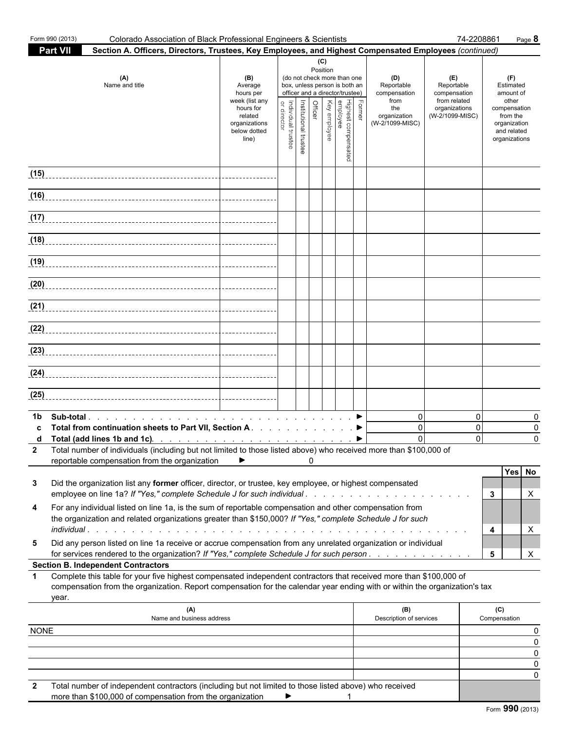|             | Form 990 (2013)<br>Colorado Association of Black Professional Engineers & Scientists                                                                                                                                                                                                                                                    |                                                                                                                 |                                   |                       |   |                 |                                                                                                                                                                       |        |                                                                                     | 74-2208861                                                                            | Page 8                                                                                                             |  |
|-------------|-----------------------------------------------------------------------------------------------------------------------------------------------------------------------------------------------------------------------------------------------------------------------------------------------------------------------------------------|-----------------------------------------------------------------------------------------------------------------|-----------------------------------|-----------------------|---|-----------------|-----------------------------------------------------------------------------------------------------------------------------------------------------------------------|--------|-------------------------------------------------------------------------------------|---------------------------------------------------------------------------------------|--------------------------------------------------------------------------------------------------------------------|--|
|             | <b>Part VII</b><br>Section A. Officers, Directors, Trustees, Key Employees, and Highest Compensated Employees (continued)                                                                                                                                                                                                               |                                                                                                                 |                                   |                       |   |                 |                                                                                                                                                                       |        |                                                                                     |                                                                                       |                                                                                                                    |  |
|             | (A)<br>Name and title                                                                                                                                                                                                                                                                                                                   | (B)<br>Average<br>hours per<br>week (list any<br>hours for<br>related<br>organizations<br>below dotted<br>line) | Individual trustee<br>or director | Institutional trustee |   | (C)<br>Position | (do not check more than one<br>box, unless person is both an<br>officer and a director/trustee)<br>  Highest compensated<br>  employee<br>  Key employee<br>  Officer | Former | (D)<br>Reportable<br>compensation<br>from<br>the<br>organization<br>(W-2/1099-MISC) | (E)<br>Reportable<br>compensation<br>from related<br>organizations<br>(W-2/1099-MISC) | (F)<br>Estimated<br>amount of<br>other<br>compensation<br>from the<br>organization<br>and related<br>organizations |  |
| (15)        |                                                                                                                                                                                                                                                                                                                                         |                                                                                                                 |                                   |                       |   |                 |                                                                                                                                                                       |        |                                                                                     |                                                                                       |                                                                                                                    |  |
|             |                                                                                                                                                                                                                                                                                                                                         |                                                                                                                 |                                   |                       |   |                 |                                                                                                                                                                       |        |                                                                                     |                                                                                       |                                                                                                                    |  |
|             | $\frac{1}{117}$                                                                                                                                                                                                                                                                                                                         |                                                                                                                 |                                   |                       |   |                 |                                                                                                                                                                       |        |                                                                                     |                                                                                       |                                                                                                                    |  |
|             |                                                                                                                                                                                                                                                                                                                                         |                                                                                                                 |                                   |                       |   |                 |                                                                                                                                                                       |        |                                                                                     |                                                                                       |                                                                                                                    |  |
|             |                                                                                                                                                                                                                                                                                                                                         |                                                                                                                 |                                   |                       |   |                 |                                                                                                                                                                       |        |                                                                                     |                                                                                       |                                                                                                                    |  |
| (20)        |                                                                                                                                                                                                                                                                                                                                         |                                                                                                                 |                                   |                       |   |                 |                                                                                                                                                                       |        |                                                                                     |                                                                                       |                                                                                                                    |  |
|             |                                                                                                                                                                                                                                                                                                                                         |                                                                                                                 |                                   |                       |   |                 |                                                                                                                                                                       |        |                                                                                     |                                                                                       |                                                                                                                    |  |
|             |                                                                                                                                                                                                                                                                                                                                         |                                                                                                                 |                                   |                       |   |                 |                                                                                                                                                                       |        |                                                                                     |                                                                                       |                                                                                                                    |  |
|             |                                                                                                                                                                                                                                                                                                                                         |                                                                                                                 |                                   |                       |   |                 |                                                                                                                                                                       |        |                                                                                     |                                                                                       |                                                                                                                    |  |
|             |                                                                                                                                                                                                                                                                                                                                         |                                                                                                                 |                                   |                       |   |                 |                                                                                                                                                                       |        |                                                                                     |                                                                                       |                                                                                                                    |  |
| (25)        |                                                                                                                                                                                                                                                                                                                                         |                                                                                                                 |                                   |                       |   |                 |                                                                                                                                                                       |        |                                                                                     |                                                                                       |                                                                                                                    |  |
| 1b.         | Total from continuation sheets to Part VII, Section A ▶<br>Total (add lines 1b and 1c). $\ldots$ $\ldots$ $\ldots$ $\ldots$ $\ldots$ $\ldots$ $\ldots$ $\ldots$<br>2 Total number of individuals (including but not limited to those listed above) who received more than \$100,000 of<br>reportable compensation from the organization | ▶                                                                                                               |                                   |                       | 0 |                 |                                                                                                                                                                       |        | $\overline{0}$<br>$\mathbf 0$<br>$\Omega$                                           | $\Omega$<br>$\mathbf 0$<br>$\Omega$                                                   | 0<br>0<br>$\Omega$                                                                                                 |  |
| 3           | Did the organization list any former officer, director, or trustee, key employee, or highest compensated<br>employee on line 1a? If "Yes," complete Schedule J for such individual                                                                                                                                                      |                                                                                                                 |                                   |                       |   |                 |                                                                                                                                                                       |        |                                                                                     |                                                                                       | Yes No<br>3<br>X                                                                                                   |  |
| 4           | For any individual listed on line 1a, is the sum of reportable compensation and other compensation from<br>the organization and related organizations greater than \$150,000? If "Yes," complete Schedule J for such                                                                                                                    |                                                                                                                 |                                   |                       |   |                 |                                                                                                                                                                       |        |                                                                                     |                                                                                       | 4<br>X                                                                                                             |  |
| 5           | Did any person listed on line 1a receive or accrue compensation from any unrelated organization or individual<br>for services rendered to the organization? If "Yes," complete Schedule J for such person.                                                                                                                              |                                                                                                                 |                                   |                       |   |                 |                                                                                                                                                                       |        |                                                                                     |                                                                                       | X<br>5                                                                                                             |  |
|             | <b>Section B. Independent Contractors</b>                                                                                                                                                                                                                                                                                               |                                                                                                                 |                                   |                       |   |                 |                                                                                                                                                                       |        |                                                                                     |                                                                                       |                                                                                                                    |  |
| 1           | Complete this table for your five highest compensated independent contractors that received more than \$100,000 of<br>compensation from the organization. Report compensation for the calendar year ending with or within the organization's tax<br>year.                                                                               |                                                                                                                 |                                   |                       |   |                 |                                                                                                                                                                       |        |                                                                                     |                                                                                       |                                                                                                                    |  |
|             | (A)<br>Name and business address                                                                                                                                                                                                                                                                                                        |                                                                                                                 |                                   |                       |   |                 |                                                                                                                                                                       |        | (B)<br>Description of services                                                      |                                                                                       | (C)<br>Compensation                                                                                                |  |
| <b>NONE</b> |                                                                                                                                                                                                                                                                                                                                         |                                                                                                                 |                                   |                       |   |                 |                                                                                                                                                                       |        |                                                                                     |                                                                                       | 0                                                                                                                  |  |
|             |                                                                                                                                                                                                                                                                                                                                         |                                                                                                                 |                                   |                       |   |                 |                                                                                                                                                                       |        |                                                                                     |                                                                                       | 0                                                                                                                  |  |
|             |                                                                                                                                                                                                                                                                                                                                         |                                                                                                                 |                                   |                       |   |                 |                                                                                                                                                                       |        |                                                                                     |                                                                                       | 0<br>0                                                                                                             |  |
|             |                                                                                                                                                                                                                                                                                                                                         |                                                                                                                 |                                   |                       |   |                 |                                                                                                                                                                       |        |                                                                                     |                                                                                       | 0                                                                                                                  |  |
| 2           | Total number of independent contractors (including but not limited to those listed above) who received                                                                                                                                                                                                                                  |                                                                                                                 |                                   |                       |   |                 |                                                                                                                                                                       |        |                                                                                     |                                                                                       |                                                                                                                    |  |

| more than \$100,000 of compensation from the organization |  |  |  |
|-----------------------------------------------------------|--|--|--|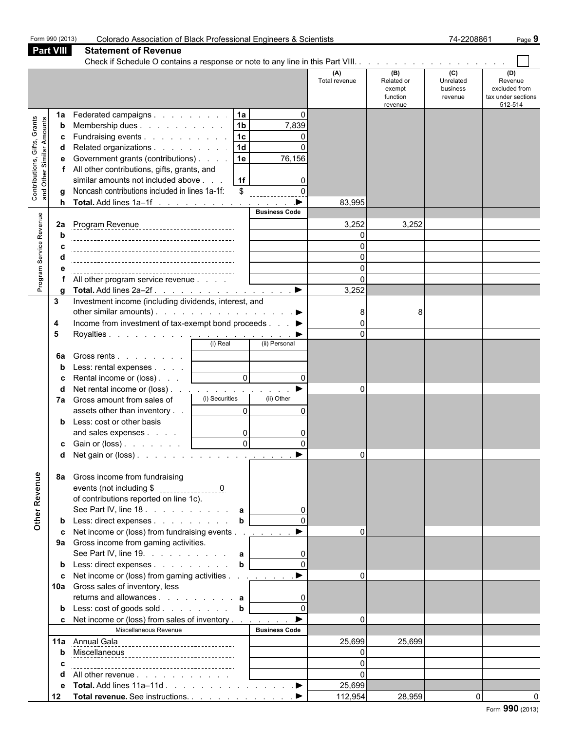|                                                           | Form 990 (2013)              | Colorado Association of Black Professional Engineers & Scientists                                                                                                                                                                                                                           |                                                                                                                                                                                    | 74-2208861<br>Page 9          |                                                    |                                                    |                                                                  |  |  |
|-----------------------------------------------------------|------------------------------|---------------------------------------------------------------------------------------------------------------------------------------------------------------------------------------------------------------------------------------------------------------------------------------------|------------------------------------------------------------------------------------------------------------------------------------------------------------------------------------|-------------------------------|----------------------------------------------------|----------------------------------------------------|------------------------------------------------------------------|--|--|
|                                                           | <b>Part VIII</b>             | <b>Statement of Revenue</b>                                                                                                                                                                                                                                                                 |                                                                                                                                                                                    |                               |                                                    |                                                    |                                                                  |  |  |
|                                                           |                              |                                                                                                                                                                                                                                                                                             |                                                                                                                                                                                    |                               |                                                    |                                                    |                                                                  |  |  |
|                                                           |                              |                                                                                                                                                                                                                                                                                             |                                                                                                                                                                                    | (A)<br>Total revenue          | (B)<br>Related or<br>exempt<br>function<br>revenue | $\overline{c}$<br>Unrelated<br>business<br>revenue | (D)<br>Revenue<br>excluded from<br>tax under sections<br>512-514 |  |  |
| Contributions, Gifts, Grants<br>and Other Similar Amounts | 1a<br>b<br>c<br>d<br>е<br>h. | Federated campaigns<br>Membership dues<br>Fundraising events<br>Related organizations<br>Government grants (contributions)<br>All other contributions, gifts, grants, and<br>similar amounts not included above<br>Noncash contributions included in lines 1a-1f:<br>Total. Add lines 1a-1f | 1a<br>$\mathbf{0}$<br>1 <sub>b</sub><br>7,839<br> 1c <br>$\mathbf 0$<br>  1d<br>$\Omega$<br>76,156<br>1e<br>  1f<br>$\Omega$<br>$\boldsymbol{\mathsf{S}}$<br>$\blacktriangleright$ | 83,995                        |                                                    |                                                    |                                                                  |  |  |
|                                                           |                              |                                                                                                                                                                                                                                                                                             | <b>Business Code</b>                                                                                                                                                               |                               |                                                    |                                                    |                                                                  |  |  |
| Program Service Revenue                                   | 2a<br>h                      |                                                                                                                                                                                                                                                                                             |                                                                                                                                                                                    | 3,252<br>$\Omega$<br>$\Omega$ | 3,252                                              |                                                    |                                                                  |  |  |
|                                                           |                              |                                                                                                                                                                                                                                                                                             |                                                                                                                                                                                    | $\Omega$                      |                                                    |                                                    |                                                                  |  |  |
|                                                           |                              |                                                                                                                                                                                                                                                                                             |                                                                                                                                                                                    | $\Omega$                      |                                                    |                                                    |                                                                  |  |  |
|                                                           |                              | All other program service revenue                                                                                                                                                                                                                                                           |                                                                                                                                                                                    | $\Omega$                      |                                                    |                                                    |                                                                  |  |  |
|                                                           | α                            |                                                                                                                                                                                                                                                                                             |                                                                                                                                                                                    | 3,252                         |                                                    |                                                    |                                                                  |  |  |
|                                                           | 3                            | Investment income (including dividends, interest, and                                                                                                                                                                                                                                       |                                                                                                                                                                                    |                               |                                                    |                                                    |                                                                  |  |  |
|                                                           | 4                            | other similar amounts). $\ldots$ $\ldots$ $\ldots$ $\ldots$ $\ldots$ $\ldots$<br>Income from investment of tax-exempt bond proceeds ▶                                                                                                                                                       |                                                                                                                                                                                    | 8<br>$\Omega$                 | 8                                                  |                                                    |                                                                  |  |  |
|                                                           | 5                            |                                                                                                                                                                                                                                                                                             |                                                                                                                                                                                    | $\Omega$                      |                                                    |                                                    |                                                                  |  |  |
|                                                           |                              |                                                                                                                                                                                                                                                                                             |                                                                                                                                                                                    |                               |                                                    |                                                    |                                                                  |  |  |
|                                                           | 6a                           | Gross rents                                                                                                                                                                                                                                                                                 |                                                                                                                                                                                    |                               |                                                    |                                                    |                                                                  |  |  |
|                                                           |                              | Less: rental expenses [                                                                                                                                                                                                                                                                     |                                                                                                                                                                                    |                               |                                                    |                                                    |                                                                  |  |  |
|                                                           |                              | Rental income or (loss)                                                                                                                                                                                                                                                                     | $\overline{0}$<br>$\mathbf{0}$                                                                                                                                                     |                               |                                                    |                                                    |                                                                  |  |  |
|                                                           |                              | Net rental income or (loss) <u>.</u>                                                                                                                                                                                                                                                        | $\blacktriangleright$                                                                                                                                                              | $\Omega$                      |                                                    |                                                    |                                                                  |  |  |
|                                                           | 7a                           | (i) Securities<br>Gross amount from sales of                                                                                                                                                                                                                                                | (ii) Other                                                                                                                                                                         |                               |                                                    |                                                    |                                                                  |  |  |
|                                                           |                              | assets other than inventory<br>Less: cost or other basis                                                                                                                                                                                                                                    | $\overline{0}$<br>$\mathbf{0}$                                                                                                                                                     |                               |                                                    |                                                    |                                                                  |  |  |
|                                                           |                              | and sales expenses                                                                                                                                                                                                                                                                          | $\overline{0}$<br>0                                                                                                                                                                |                               |                                                    |                                                    |                                                                  |  |  |
|                                                           |                              | c Gain or $(\text{loss})$ .                                                                                                                                                                                                                                                                 | $\Omega$<br>$\Omega$                                                                                                                                                               |                               |                                                    |                                                    |                                                                  |  |  |
|                                                           |                              |                                                                                                                                                                                                                                                                                             |                                                                                                                                                                                    | $\overline{0}$                |                                                    |                                                    |                                                                  |  |  |
| Other Revenue                                             | 8a                           | Gross income from fundraising<br>of contributions reported on line 1c).<br>See Part IV, line 18. a                                                                                                                                                                                          |                                                                                                                                                                                    |                               |                                                    |                                                    |                                                                  |  |  |
|                                                           |                              | Less: direct expenses                                                                                                                                                                                                                                                                       | $\mathbf b$                                                                                                                                                                        |                               |                                                    |                                                    |                                                                  |  |  |
|                                                           |                              | Net income or (loss) from fundraising events                                                                                                                                                                                                                                                |                                                                                                                                                                                    | $\Omega$                      |                                                    |                                                    |                                                                  |  |  |
|                                                           |                              | 9a Gross income from gaming activities.                                                                                                                                                                                                                                                     |                                                                                                                                                                                    |                               |                                                    |                                                    |                                                                  |  |  |
|                                                           |                              | See Part IV, line 19. $\ldots$ $\ldots$ $\ldots$ a                                                                                                                                                                                                                                          |                                                                                                                                                                                    |                               |                                                    |                                                    |                                                                  |  |  |
|                                                           |                              | Less: direct expenses b                                                                                                                                                                                                                                                                     |                                                                                                                                                                                    |                               |                                                    |                                                    |                                                                  |  |  |
|                                                           |                              | Net income or (loss) from gaming activities ▶<br>10a Gross sales of inventory, less<br>returns and allowances $\mathbf{a}$                                                                                                                                                                  |                                                                                                                                                                                    | $\Omega$                      |                                                    |                                                    |                                                                  |  |  |
|                                                           | b                            | Less: cost of goods sold b                                                                                                                                                                                                                                                                  | $\mathbf{0}$                                                                                                                                                                       |                               |                                                    |                                                    |                                                                  |  |  |
|                                                           | c.                           | Net income or (loss) from sales of inventory ▶                                                                                                                                                                                                                                              |                                                                                                                                                                                    | $\Omega$                      |                                                    |                                                    |                                                                  |  |  |
|                                                           |                              | Miscellaneous Revenue                                                                                                                                                                                                                                                                       | <b>Business Code</b>                                                                                                                                                               |                               |                                                    |                                                    |                                                                  |  |  |
|                                                           |                              | 11a Annual Gala<br>11a Annual Gala                                                                                                                                                                                                                                                          |                                                                                                                                                                                    | 25,699                        | 25,699                                             |                                                    |                                                                  |  |  |
|                                                           |                              |                                                                                                                                                                                                                                                                                             |                                                                                                                                                                                    | $\Omega$<br>$\Omega$          |                                                    |                                                    |                                                                  |  |  |
|                                                           |                              | All other revenue                                                                                                                                                                                                                                                                           |                                                                                                                                                                                    | $\Omega$                      |                                                    |                                                    |                                                                  |  |  |
|                                                           | е                            | Total. Add lines 11a-11d ▶                                                                                                                                                                                                                                                                  |                                                                                                                                                                                    | 25,699                        |                                                    |                                                    |                                                                  |  |  |
|                                                           | 12                           | Total revenue. See instructions. ▶                                                                                                                                                                                                                                                          |                                                                                                                                                                                    | 112,954                       | 28,959                                             |                                                    | $\overline{0}$                                                   |  |  |
|                                                           |                              |                                                                                                                                                                                                                                                                                             |                                                                                                                                                                                    |                               |                                                    |                                                    |                                                                  |  |  |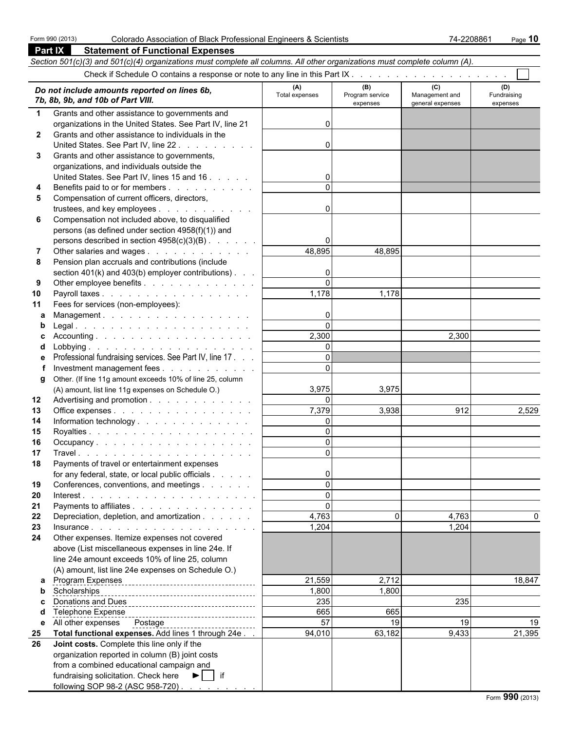**Part IX Statement of Functional Expenses**

| Section 501(c)(3) and 501(c)(4) organizations must complete all columns. All other organizations must complete column (A). |                                                                                                      |                       |                                    |                                           |                                |  |  |
|----------------------------------------------------------------------------------------------------------------------------|------------------------------------------------------------------------------------------------------|-----------------------|------------------------------------|-------------------------------------------|--------------------------------|--|--|
|                                                                                                                            |                                                                                                      |                       |                                    |                                           |                                |  |  |
|                                                                                                                            | Do not include amounts reported on lines 6b,<br>7b, 8b, 9b, and 10b of Part VIII.                    | (A)<br>Total expenses | (B)<br>Program service<br>expenses | (C)<br>Management and<br>general expenses | (D)<br>Fundraising<br>expenses |  |  |
| $\mathbf{1}$                                                                                                               | Grants and other assistance to governments and                                                       |                       |                                    |                                           |                                |  |  |
|                                                                                                                            | organizations in the United States. See Part IV, line 21                                             | 0                     |                                    |                                           |                                |  |  |
| $\mathbf{2}$                                                                                                               | Grants and other assistance to individuals in the                                                    |                       |                                    |                                           |                                |  |  |
|                                                                                                                            | United States. See Part IV, line 22                                                                  | $\mathbf{0}$          |                                    |                                           |                                |  |  |
| 3                                                                                                                          | Grants and other assistance to governments,                                                          |                       |                                    |                                           |                                |  |  |
|                                                                                                                            | organizations, and individuals outside the                                                           |                       |                                    |                                           |                                |  |  |
|                                                                                                                            | United States. See Part IV, lines 15 and 16                                                          | $\mathbf{0}$          |                                    |                                           |                                |  |  |
| 4                                                                                                                          | Benefits paid to or for members                                                                      | $\Omega$              |                                    |                                           |                                |  |  |
| 5                                                                                                                          | Compensation of current officers, directors,                                                         |                       |                                    |                                           |                                |  |  |
|                                                                                                                            | trustees, and key employees                                                                          | $\mathbf{0}$          |                                    |                                           |                                |  |  |
| 6                                                                                                                          | Compensation not included above, to disqualified                                                     |                       |                                    |                                           |                                |  |  |
|                                                                                                                            | persons (as defined under section 4958(f)(1)) and                                                    | $\Omega$              |                                    |                                           |                                |  |  |
| 7                                                                                                                          | persons described in section 4958(c)(3)(B)<br>Other salaries and wages                               | 48,895                | 48,895                             |                                           |                                |  |  |
| 8                                                                                                                          | Pension plan accruals and contributions (include                                                     |                       |                                    |                                           |                                |  |  |
|                                                                                                                            | section $401(k)$ and $403(b)$ employer contributions).                                               | 0                     |                                    |                                           |                                |  |  |
| 9                                                                                                                          | Other employee benefits                                                                              | $\Omega$              |                                    |                                           |                                |  |  |
| 10                                                                                                                         | Payroll taxes                                                                                        | 1,178                 | 1,178                              |                                           |                                |  |  |
| 11                                                                                                                         | Fees for services (non-employees):                                                                   |                       |                                    |                                           |                                |  |  |
| а                                                                                                                          | Management.                                                                                          | 0                     |                                    |                                           |                                |  |  |
| b                                                                                                                          |                                                                                                      | $\Omega$              |                                    |                                           |                                |  |  |
| c                                                                                                                          |                                                                                                      | 2,300                 |                                    | 2,300                                     |                                |  |  |
| d                                                                                                                          |                                                                                                      | $\mathbf{0}$          |                                    |                                           |                                |  |  |
| е                                                                                                                          | Professional fundraising services. See Part IV, line 17.                                             | $\Omega$              |                                    |                                           |                                |  |  |
|                                                                                                                            | Investment management fees                                                                           | $\Omega$              |                                    |                                           |                                |  |  |
| g                                                                                                                          | Other. (If line 11g amount exceeds 10% of line 25, column                                            |                       |                                    |                                           |                                |  |  |
|                                                                                                                            | (A) amount, list line 11g expenses on Schedule O.)                                                   | 3,975<br>$\Omega$     | 3,975                              |                                           |                                |  |  |
| 12<br>13                                                                                                                   | Advertising and promotion<br>Office expenses                                                         | 7,379                 | 3,938                              | 912                                       | 2,529                          |  |  |
| 14                                                                                                                         | Information technology                                                                               | $\mathbf{0}$          |                                    |                                           |                                |  |  |
| 15                                                                                                                         |                                                                                                      | $\Omega$              |                                    |                                           |                                |  |  |
| 16                                                                                                                         | Occupancy                                                                                            | $\Omega$              |                                    |                                           |                                |  |  |
| 17                                                                                                                         |                                                                                                      | $\Omega$              |                                    |                                           |                                |  |  |
| 18                                                                                                                         | Payments of travel or entertainment expenses                                                         |                       |                                    |                                           |                                |  |  |
|                                                                                                                            | for any federal, state, or local public officials                                                    | υ                     |                                    |                                           |                                |  |  |
| 19                                                                                                                         | Conferences, conventions, and meetings                                                               | $\Omega$              |                                    |                                           |                                |  |  |
| 20                                                                                                                         |                                                                                                      | $\mathbf{0}$          |                                    |                                           |                                |  |  |
| 21                                                                                                                         | Payments to affiliates                                                                               | $\Omega$              |                                    |                                           |                                |  |  |
| 22                                                                                                                         | Depreciation, depletion, and amortization                                                            | 4,763                 |                                    | 4,763                                     |                                |  |  |
| 23                                                                                                                         |                                                                                                      | 1,204                 |                                    | 1,204                                     |                                |  |  |
| 24                                                                                                                         | Other expenses. Itemize expenses not covered                                                         |                       |                                    |                                           |                                |  |  |
|                                                                                                                            | above (List miscellaneous expenses in line 24e. If<br>line 24e amount exceeds 10% of line 25, column |                       |                                    |                                           |                                |  |  |
|                                                                                                                            | (A) amount, list line 24e expenses on Schedule O.)                                                   |                       |                                    |                                           |                                |  |  |
|                                                                                                                            | a Program Expenses<br><u>newsletters</u>                                                             | 21,559                | 2,712                              |                                           | 18,847                         |  |  |
| b                                                                                                                          | Scholarships                                                                                         | 1,800                 | 1,800                              |                                           |                                |  |  |
| c                                                                                                                          | Donations and Dues                                                                                   | 235                   |                                    | 235                                       |                                |  |  |
|                                                                                                                            |                                                                                                      | 665                   | 665                                |                                           |                                |  |  |
| е                                                                                                                          | All other expenses  Postage                                                                          | 57                    | 19                                 | 19                                        | 19                             |  |  |
| 25                                                                                                                         | Total functional expenses. Add lines 1 through 24e                                                   | 94,010                | 63,182                             | 9,433                                     | 21,395                         |  |  |
| 26                                                                                                                         | Joint costs. Complete this line only if the                                                          |                       |                                    |                                           |                                |  |  |
|                                                                                                                            | organization reported in column (B) joint costs                                                      |                       |                                    |                                           |                                |  |  |
|                                                                                                                            | from a combined educational campaign and                                                             |                       |                                    |                                           |                                |  |  |
|                                                                                                                            | fundraising solicitation. Check here<br>$\blacktriangleright$   if                                   |                       |                                    |                                           |                                |  |  |
|                                                                                                                            | following SOP 98-2 (ASC 958-720)                                                                     |                       |                                    |                                           |                                |  |  |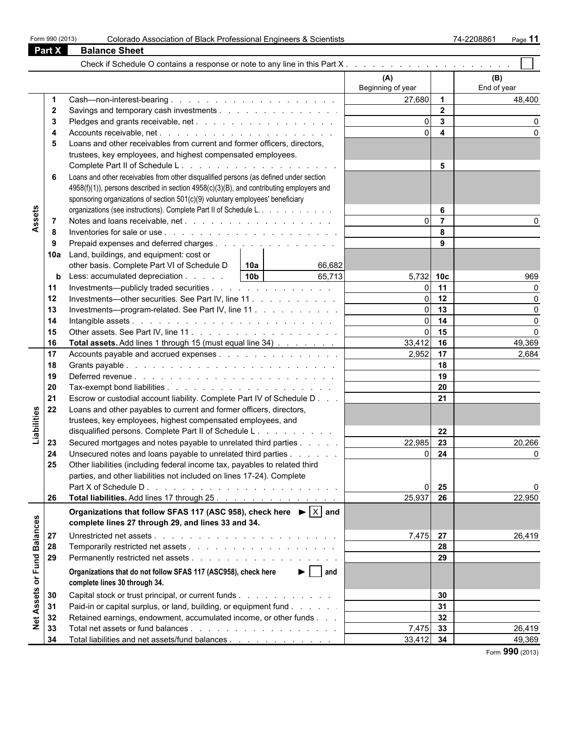| Form 990 (2013) |  |  |  |
|-----------------|--|--|--|
|-----------------|--|--|--|

|                 | <b>Part X</b>  | <b>Balance Sheet</b>                                                                                         |                          |                         |                    |
|-----------------|----------------|--------------------------------------------------------------------------------------------------------------|--------------------------|-------------------------|--------------------|
|                 |                |                                                                                                              |                          |                         |                    |
|                 |                |                                                                                                              | (A)<br>Beginning of year |                         | (B)<br>End of year |
|                 | -1             |                                                                                                              | 27,680                   | $\overline{1}$          | 48,400             |
|                 | 2              | Savings and temporary cash investments                                                                       |                          | $\overline{2}$          |                    |
|                 | 3              |                                                                                                              | $\Omega$                 | $\mathbf{3}$            |                    |
|                 | 4              |                                                                                                              |                          | $\overline{\mathbf{4}}$ |                    |
|                 | 5              | Loans and other receivables from current and former officers, directors,                                     |                          |                         |                    |
|                 |                | trustees, key employees, and highest compensated employees.                                                  |                          |                         |                    |
|                 |                |                                                                                                              |                          | 5                       |                    |
|                 | 6              | Loans and other receivables from other disqualified persons (as defined under section                        |                          |                         |                    |
|                 |                | 4958(f)(1)), persons described in section 4958(c)(3)(B), and contributing employers and                      |                          |                         |                    |
|                 |                | sponsoring organizations of section 501(c)(9) voluntary employees' beneficiary                               |                          |                         |                    |
|                 |                | organizations (see instructions). Complete Part II of Schedule L.                                            |                          | 6                       |                    |
| Assets          | $\overline{7}$ |                                                                                                              |                          | $\overline{7}$          |                    |
|                 | 8              | Inventories for sale or use $\ldots$ $\ldots$ $\ldots$ $\ldots$ $\ldots$ $\ldots$ $\ldots$ $\ldots$ $\ldots$ |                          | 8                       |                    |
|                 | 9              | Prepaid expenses and deferred charges                                                                        |                          | 9                       |                    |
|                 | 10a            | Land, buildings, and equipment: cost or                                                                      |                          |                         |                    |
|                 |                | other basis. Complete Part VI of Schedule D<br>66,682<br>l 10a                                               |                          |                         |                    |
|                 | b              | 10 <sub>b</sub><br>Less: accumulated depreciation<br>65,713                                                  | $5,732$ 10c              |                         | 969                |
|                 | 11             | Investments—publicly traded securities                                                                       |                          | 11                      |                    |
|                 | 12             | Investments—other securities. See Part IV, line 11.                                                          |                          | 12                      |                    |
|                 | 13             | Investments—program-related. See Part IV, line 11                                                            | $\Omega$                 | 13                      | $\Omega$           |
|                 | 14             |                                                                                                              |                          | 14                      | $\Omega$           |
|                 | 15             |                                                                                                              |                          | 15                      | $\Omega$           |
|                 | 16             | Total assets. Add lines 1 through 15 (must equal line 34)                                                    | $33,412$ 16              |                         | 49,369             |
|                 | 17             | Accounts payable and accrued expenses                                                                        | 2,952                    | 17                      | 2,684              |
|                 | 18             |                                                                                                              |                          | 18                      |                    |
|                 | 19             |                                                                                                              |                          | 19                      |                    |
|                 | 20             |                                                                                                              |                          | 20                      |                    |
|                 | 21             | Escrow or custodial account liability. Complete Part IV of Schedule D                                        |                          | 21                      |                    |
| Liabilities     | 22             | Loans and other payables to current and former officers, directors,                                          |                          |                         |                    |
|                 |                | trustees, key employees, highest compensated employees, and                                                  |                          |                         |                    |
|                 |                | disqualified persons. Complete Part II of Schedule L.                                                        |                          | 22                      |                    |
|                 | 23             | Secured mortgages and notes payable to unrelated third parties                                               | 22,985                   | 23                      | 20,266             |
|                 | 24             | Unsecured notes and loans payable to unrelated third parties                                                 | $\Omega$                 | 24                      | $\Omega$           |
|                 | 25             | Other liabilities (including federal income tax, payables to related third                                   |                          |                         |                    |
|                 |                | parties, and other liabilities not included on lines 17-24). Complete                                        |                          |                         |                    |
|                 |                |                                                                                                              |                          | 25                      | 0                  |
|                 | 26             | Total liabilities. Add lines 17 through 25.                                                                  | 25,937                   | 26                      | 22,950             |
|                 |                | Organizations that follow SFAS 117 (ASC 958), check here $\blacktriangleright$ $ X $ and                     |                          |                         |                    |
|                 |                | complete lines 27 through 29, and lines 33 and 34.                                                           |                          |                         |                    |
| <b>Balances</b> | 27             |                                                                                                              | 7,475 27                 |                         | 26,419             |
|                 | 28             |                                                                                                              |                          | 28                      |                    |
|                 | 29             |                                                                                                              |                          | 29                      |                    |
| or Fund         |                | $\blacktriangleright$   and<br>Organizations that do not follow SFAS 117 (ASC958), check here                |                          |                         |                    |
|                 |                | complete lines 30 through 34.                                                                                |                          |                         |                    |
| Assets          | 30             | Capital stock or trust principal, or current funds                                                           |                          | 30                      |                    |
|                 | 31             | Paid-in or capital surplus, or land, building, or equipment fund                                             |                          | 31                      |                    |
| Net.            | 32             | Retained earnings, endowment, accumulated income, or other funds                                             |                          | 32                      |                    |
|                 | 33             |                                                                                                              | 7,475                    | 33                      | 26,419             |
|                 | 34             | Total liabilities and net assets/fund balances                                                               | 33,412                   | 34                      | 49,369             |

Form **990** (2013)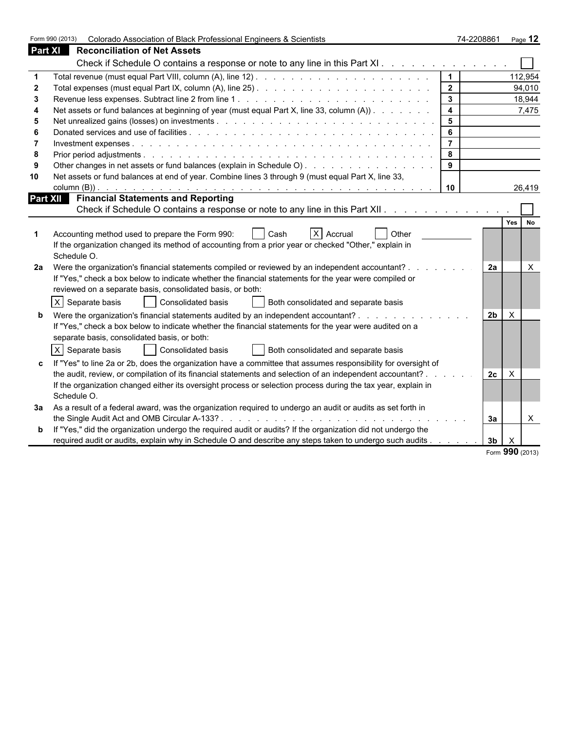|    | Form 990 (2013)<br>Colorado Association of Black Professional Engineers & Scientists                           |                         | 74-2208861     |                 | Page 12                   |
|----|----------------------------------------------------------------------------------------------------------------|-------------------------|----------------|-----------------|---------------------------|
|    | <b>Part XI</b> Reconciliation of Net Assets                                                                    |                         |                |                 |                           |
|    | Check if Schedule O contains a response or note to any line in this Part XI                                    |                         |                |                 |                           |
|    |                                                                                                                | $\vert$ 1               |                |                 | 112,954                   |
|    |                                                                                                                | $\overline{2}$          |                |                 | 94,010                    |
|    |                                                                                                                | $\overline{\mathbf{3}}$ |                |                 | 18,944                    |
|    | Net assets or fund balances at beginning of year (must equal Part X, line 33, column (A))                      | $\overline{4}$          |                |                 | 7,475                     |
| 5  |                                                                                                                | $5\overline{5}$         |                |                 |                           |
| 6  |                                                                                                                | $6\phantom{a}$          |                |                 |                           |
|    |                                                                                                                | $\overline{7}$          |                |                 |                           |
| 8  |                                                                                                                | 8                       |                |                 |                           |
|    | Other changes in net assets or fund balances (explain in Schedule O)                                           | 9                       |                |                 |                           |
| 10 | Net assets or fund balances at end of year. Combine lines 3 through 9 (must equal Part X, line 33,             |                         |                |                 |                           |
|    |                                                                                                                | 10                      |                |                 | 26,419                    |
|    | Part XII Financial Statements and Reporting                                                                    |                         |                |                 |                           |
|    | Check if Schedule O contains a response or note to any line in this Part XII.                                  |                         |                |                 |                           |
|    |                                                                                                                |                         |                | Yes             | <b>No</b>                 |
|    | X Accrual<br><b>Other</b><br>Accounting method used to prepare the Form 990:<br>Cash                           |                         |                |                 |                           |
|    | If the organization changed its method of accounting from a prior year or checked "Other," explain in          |                         |                |                 |                           |
|    | Schedule O.                                                                                                    |                         |                |                 |                           |
| 2a | Were the organization's financial statements compiled or reviewed by an independent accountant?                |                         | 2a             |                 | $\times$                  |
|    | If "Yes," check a box below to indicate whether the financial statements for the year were compiled or         |                         |                |                 |                           |
|    | reviewed on a separate basis, consolidated basis, or both:                                                     |                         |                |                 |                           |
|    | X Separate basis<br>Consolidated basis<br>Both consolidated and separate basis                                 |                         |                |                 |                           |
|    | Were the organization's financial statements audited by an independent accountant?                             |                         | 2 <sub>b</sub> | X.              |                           |
|    | If "Yes," check a box below to indicate whether the financial statements for the year were audited on a        |                         |                |                 |                           |
|    | separate basis, consolidated basis, or both:                                                                   |                         |                |                 |                           |
|    | $\times$                                                                                                       |                         |                |                 |                           |
|    | <b>Consolidated basis</b><br>Both consolidated and separate basis<br>Separate basis                            |                         |                |                 |                           |
|    | If "Yes" to line 2a or 2b, does the organization have a committee that assumes responsibility for oversight of |                         |                |                 |                           |
|    | the audit, review, or compilation of its financial statements and selection of an independent accountant?      |                         | 2c             | $\times$        |                           |
|    | If the organization changed either its oversight process or selection process during the tax year, explain in  |                         |                |                 |                           |
|    | Schedule O.                                                                                                    |                         |                |                 |                           |
| За | As a result of a federal award, was the organization required to undergo an audit or audits as set forth in    |                         |                |                 |                           |
|    |                                                                                                                |                         | За             |                 | $\boldsymbol{\mathsf{X}}$ |
|    | If "Yes," did the organization undergo the required audit or audits? If the organization did not undergo the   |                         |                |                 |                           |
|    | required audit or audits, explain why in Schedule O and describe any steps taken to undergo such audits.       |                         | 3b             |                 |                           |
|    |                                                                                                                |                         |                | Form 990 (2013) |                           |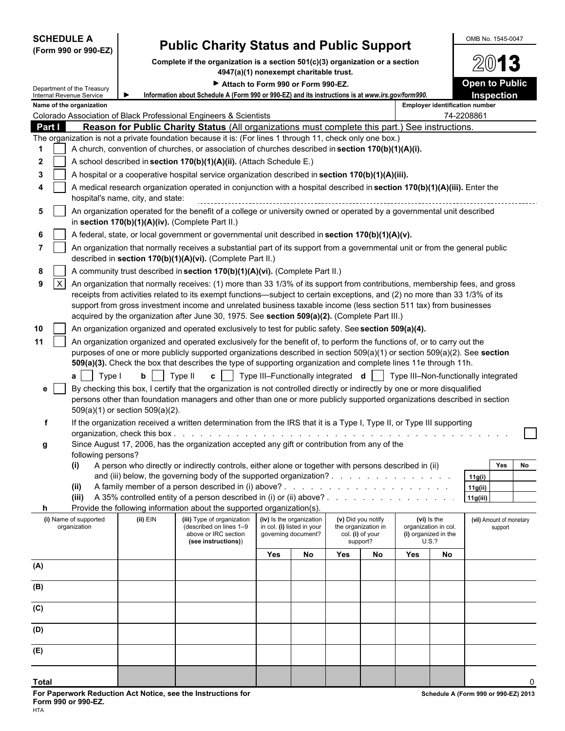| <b>SCHEDULE A</b>                                                                                         |                                   | <b>Public Charity Status and Public Support</b>                                                                                                                                                                                                  |                                                        |                                           |     |                                                                           |     |                                                                      | OMB No. 1545-0047                     |
|-----------------------------------------------------------------------------------------------------------|-----------------------------------|--------------------------------------------------------------------------------------------------------------------------------------------------------------------------------------------------------------------------------------------------|--------------------------------------------------------|-------------------------------------------|-----|---------------------------------------------------------------------------|-----|----------------------------------------------------------------------|---------------------------------------|
| (Form 990 or 990-EZ)                                                                                      |                                   | Complete if the organization is a section 501(c)(3) organization or a section                                                                                                                                                                    |                                                        |                                           |     |                                                                           |     |                                                                      | $200$ 13                              |
|                                                                                                           |                                   | 4947(a)(1) nonexempt charitable trust.                                                                                                                                                                                                           |                                                        |                                           |     |                                                                           |     |                                                                      | <b>Open to Public</b>                 |
| Department of the Treasury<br><b>Internal Revenue Service</b>                                             |                                   | Attach to Form 990 or Form 990-EZ.<br>Information about Schedule A (Form 990 or 990-EZ) and its instructions is at www.irs.gov/form990.                                                                                                          |                                                        |                                           |     |                                                                           |     |                                                                      | Inspection                            |
| Name of the organization                                                                                  |                                   |                                                                                                                                                                                                                                                  |                                                        |                                           |     |                                                                           |     |                                                                      | <b>Employer identification number</b> |
| Colorado Association of Black Professional Engineers & Scientists<br>Part I                               |                                   | <b>Reason for Public Charity Status</b> (All organizations must complete this part.) See instructions.                                                                                                                                           |                                                        |                                           |     |                                                                           |     |                                                                      | 74-2208861                            |
| The organization is not a private foundation because it is: (For lines 1 through 11, check only one box.) |                                   |                                                                                                                                                                                                                                                  |                                                        |                                           |     |                                                                           |     |                                                                      |                                       |
| 1                                                                                                         |                                   | A church, convention of churches, or association of churches described in section 170(b)(1)(A)(i).                                                                                                                                               |                                                        |                                           |     |                                                                           |     |                                                                      |                                       |
| 2                                                                                                         |                                   | A school described in section 170(b)(1)(A)(ii). (Attach Schedule E.)                                                                                                                                                                             |                                                        |                                           |     |                                                                           |     |                                                                      |                                       |
| 3                                                                                                         |                                   | A hospital or a cooperative hospital service organization described in section 170(b)(1)(A)(iii).                                                                                                                                                |                                                        |                                           |     |                                                                           |     |                                                                      |                                       |
|                                                                                                           | hospital's name, city, and state: | A medical research organization operated in conjunction with a hospital described in section 170(b)(1)(A)(iii). Enter the                                                                                                                        |                                                        |                                           |     |                                                                           |     |                                                                      |                                       |
| 5                                                                                                         |                                   | An organization operated for the benefit of a college or university owned or operated by a governmental unit described<br>in section 170(b)(1)(A)(iv). (Complete Part II.)                                                                       |                                                        |                                           |     |                                                                           |     |                                                                      |                                       |
| 6                                                                                                         |                                   | A federal, state, or local government or governmental unit described in section 170(b)(1)(A)(v).                                                                                                                                                 |                                                        |                                           |     |                                                                           |     |                                                                      |                                       |
| $\overline{7}$                                                                                            |                                   | An organization that normally receives a substantial part of its support from a governmental unit or from the general public<br>described in section 170(b)(1)(A)(vi). (Complete Part II.)                                                       |                                                        |                                           |     |                                                                           |     |                                                                      |                                       |
| 8                                                                                                         |                                   | A community trust described in section 170(b)(1)(A)(vi). (Complete Part II.)                                                                                                                                                                     |                                                        |                                           |     |                                                                           |     |                                                                      |                                       |
| $\mathsf{X}$<br>9                                                                                         |                                   | An organization that normally receives: (1) more than 33 1/3% of its support from contributions, membership fees, and gross                                                                                                                      |                                                        |                                           |     |                                                                           |     |                                                                      |                                       |
|                                                                                                           |                                   | receipts from activities related to its exempt functions—subject to certain exceptions, and (2) no more than 33 1/3% of its<br>support from gross investment income and unrelated business taxable income (less section 511 tax) from businesses |                                                        |                                           |     |                                                                           |     |                                                                      |                                       |
|                                                                                                           |                                   | acquired by the organization after June 30, 1975. See section 509(a)(2). (Complete Part III.)                                                                                                                                                    |                                                        |                                           |     |                                                                           |     |                                                                      |                                       |
| 10                                                                                                        |                                   | An organization organized and operated exclusively to test for public safety. See section 509(a)(4).                                                                                                                                             |                                                        |                                           |     |                                                                           |     |                                                                      |                                       |
| 11                                                                                                        |                                   | An organization organized and operated exclusively for the benefit of, to perform the functions of, or to carry out the                                                                                                                          |                                                        |                                           |     |                                                                           |     |                                                                      |                                       |
|                                                                                                           |                                   | purposes of one or more publicly supported organizations described in section 509(a)(1) or section 509(a)(2). See section                                                                                                                        |                                                        |                                           |     |                                                                           |     |                                                                      |                                       |
| Type I                                                                                                    | b                                 | 509(a)(3). Check the box that describes the type of supporting organization and complete lines 11e through 11h.<br>Type II<br>$\mathbf{c}$                                                                                                       |                                                        | Type III-Functionally integrated <b>d</b> |     |                                                                           |     |                                                                      | Type III-Non-functionally integrated  |
| a<br>$\mathbf{e}$                                                                                         |                                   | By checking this box, I certify that the organization is not controlled directly or indirectly by one or more disqualified                                                                                                                       |                                                        |                                           |     |                                                                           |     |                                                                      |                                       |
|                                                                                                           | 509(a)(1) or section 509(a)(2).   | persons other than foundation managers and other than one or more publicly supported organizations described in section                                                                                                                          |                                                        |                                           |     |                                                                           |     |                                                                      |                                       |
| f                                                                                                         |                                   | If the organization received a written determination from the IRS that it is a Type I, Type II, or Type III supporting                                                                                                                           |                                                        |                                           |     |                                                                           |     |                                                                      |                                       |
| g                                                                                                         |                                   | Since August 17, 2006, has the organization accepted any gift or contribution from any of the                                                                                                                                                    |                                                        |                                           |     |                                                                           |     |                                                                      |                                       |
| following persons?                                                                                        |                                   |                                                                                                                                                                                                                                                  |                                                        |                                           |     |                                                                           |     |                                                                      |                                       |
| (i)                                                                                                       |                                   | A person who directly or indirectly controls, either alone or together with persons described in (ii)                                                                                                                                            |                                                        |                                           |     |                                                                           |     |                                                                      | Yes<br>No                             |
| (ii)                                                                                                      |                                   | and (iii) below, the governing body of the supported organization?                                                                                                                                                                               |                                                        |                                           |     |                                                                           |     |                                                                      | 11g(i)                                |
| (iii)                                                                                                     |                                   |                                                                                                                                                                                                                                                  |                                                        |                                           |     |                                                                           |     |                                                                      | 11g(ii)<br>11g(iii)                   |
| h.                                                                                                        |                                   | Provide the following information about the supported organization(s).                                                                                                                                                                           |                                                        |                                           |     |                                                                           |     |                                                                      |                                       |
| (i) Name of supported<br>organization                                                                     | $(ii)$ EIN                        | (iii) Type of organization<br>(described on lines 1-9<br>above or IRC section<br>(see instructions))                                                                                                                                             | (iv) Is the organization<br>in col. (i) listed in your | governing document?                       |     | (v) Did you notify<br>the organization in<br>col. (i) of your<br>support? |     | (vi) is the<br>organization in col.<br>(i) organized in the<br>U.S.? | (vii) Amount of monetary<br>support   |
|                                                                                                           |                                   |                                                                                                                                                                                                                                                  | Yes                                                    | No                                        | Yes | No                                                                        | Yes | No                                                                   |                                       |
| (A)                                                                                                       |                                   |                                                                                                                                                                                                                                                  |                                                        |                                           |     |                                                                           |     |                                                                      |                                       |
| (B)                                                                                                       |                                   |                                                                                                                                                                                                                                                  |                                                        |                                           |     |                                                                           |     |                                                                      |                                       |
| (C)                                                                                                       |                                   |                                                                                                                                                                                                                                                  |                                                        |                                           |     |                                                                           |     |                                                                      |                                       |
| (D)                                                                                                       |                                   |                                                                                                                                                                                                                                                  |                                                        |                                           |     |                                                                           |     |                                                                      |                                       |
| (E)                                                                                                       |                                   |                                                                                                                                                                                                                                                  |                                                        |                                           |     |                                                                           |     |                                                                      |                                       |
| Total                                                                                                     |                                   |                                                                                                                                                                                                                                                  |                                                        |                                           |     |                                                                           |     |                                                                      |                                       |
|                                                                                                           |                                   |                                                                                                                                                                                                                                                  |                                                        |                                           |     |                                                                           |     |                                                                      |                                       |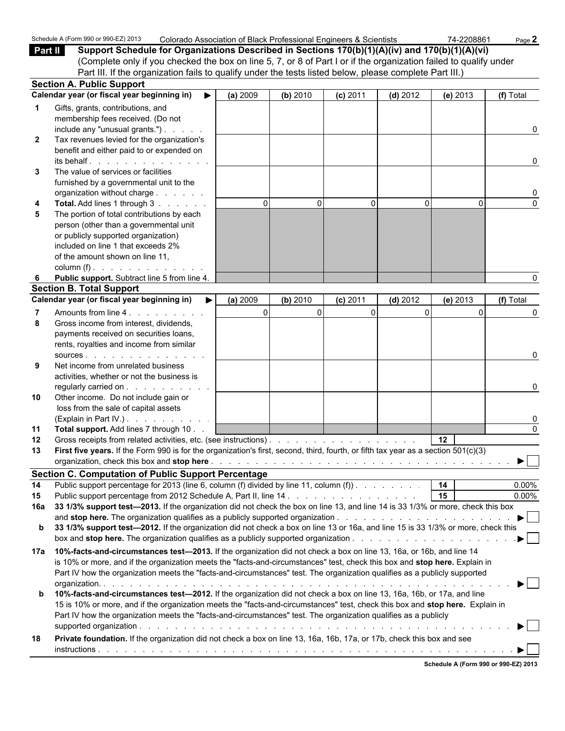|              | Schedule A (Form 990 or 990-EZ) 2013<br>Colorado Association of Black Professional Engineers & Scientists                                                                                                                      |          |              |              |            | 74-2208861                           | Page 2                         |
|--------------|--------------------------------------------------------------------------------------------------------------------------------------------------------------------------------------------------------------------------------|----------|--------------|--------------|------------|--------------------------------------|--------------------------------|
| Part II      | Support Schedule for Organizations Described in Sections 170(b)(1)(A)(iv) and 170(b)(1)(A)(vi)                                                                                                                                 |          |              |              |            |                                      |                                |
|              | (Complete only if you checked the box on line 5, 7, or 8 of Part I or if the organization failed to qualify under                                                                                                              |          |              |              |            |                                      |                                |
|              | Part III. If the organization fails to qualify under the tests listed below, please complete Part III.)                                                                                                                        |          |              |              |            |                                      |                                |
|              | <b>Section A. Public Support</b>                                                                                                                                                                                               |          |              |              |            |                                      |                                |
|              | Calendar year (or fiscal year beginning in)<br>$\blacktriangleright$                                                                                                                                                           | (a) 2009 | (b) 2010     | $(c)$ 2011   | $(d)$ 2012 | $(e)$ 2013                           | (f) Total                      |
|              | Gifts, grants, contributions, and                                                                                                                                                                                              |          |              |              |            |                                      |                                |
|              | membership fees received. (Do not                                                                                                                                                                                              |          |              |              |            |                                      |                                |
|              | include any "unusual grants.")                                                                                                                                                                                                 |          |              |              |            |                                      | 0                              |
| $\mathbf{2}$ | Tax revenues levied for the organization's                                                                                                                                                                                     |          |              |              |            |                                      |                                |
|              | benefit and either paid to or expended on<br>its behalf.                                                                                                                                                                       |          |              |              |            |                                      | 0                              |
| 3            | The value of services or facilities                                                                                                                                                                                            |          |              |              |            |                                      |                                |
|              | furnished by a governmental unit to the                                                                                                                                                                                        |          |              |              |            |                                      |                                |
|              | organization without charge                                                                                                                                                                                                    |          |              |              |            |                                      | 0                              |
| 4            | Total. Add lines 1 through 3                                                                                                                                                                                                   | $\Omega$ | $\mathbf{0}$ | $\mathbf{0}$ | $\Omega$   | $\Omega$                             | $\Omega$                       |
| 5            | The portion of total contributions by each                                                                                                                                                                                     |          |              |              |            |                                      |                                |
|              | person (other than a governmental unit                                                                                                                                                                                         |          |              |              |            |                                      |                                |
|              | or publicly supported organization)                                                                                                                                                                                            |          |              |              |            |                                      |                                |
|              | included on line 1 that exceeds 2%                                                                                                                                                                                             |          |              |              |            |                                      |                                |
|              | of the amount shown on line 11,                                                                                                                                                                                                |          |              |              |            |                                      |                                |
|              | column (f) $\ldots$ $\ldots$ $\ldots$ $\ldots$ $\ldots$                                                                                                                                                                        |          |              |              |            |                                      |                                |
|              | Public support. Subtract line 5 from line 4.                                                                                                                                                                                   |          |              |              |            |                                      | 0                              |
|              | <b>Section B. Total Support</b>                                                                                                                                                                                                |          |              |              |            |                                      |                                |
|              | Calendar year (or fiscal year beginning in)                                                                                                                                                                                    | (a) 2009 | (b) 2010     | $(c)$ 2011   | $(d)$ 2012 | $(e)$ 2013                           | (f) Total                      |
|              | Amounts from line 4.                                                                                                                                                                                                           |          | $\Omega$     | 0            | $\Omega$   | $\Omega$                             | 0                              |
| 8            | Gross income from interest, dividends,                                                                                                                                                                                         |          |              |              |            |                                      |                                |
|              | payments received on securities loans,                                                                                                                                                                                         |          |              |              |            |                                      |                                |
|              | rents, royalties and income from similar                                                                                                                                                                                       |          |              |              |            |                                      |                                |
|              | SOUICES.                                                                                                                                                                                                                       |          |              |              |            |                                      | 0                              |
| 9            | Net income from unrelated business                                                                                                                                                                                             |          |              |              |            |                                      |                                |
|              | activities, whether or not the business is<br>regularly carried on                                                                                                                                                             |          |              |              |            |                                      | 0                              |
| 10           | Other income. Do not include gain or                                                                                                                                                                                           |          |              |              |            |                                      |                                |
|              | loss from the sale of capital assets                                                                                                                                                                                           |          |              |              |            |                                      |                                |
|              | (Explain in Part IV.)                                                                                                                                                                                                          |          |              |              |            |                                      | 0                              |
| 11           | Total support. Add lines 7 through 10                                                                                                                                                                                          |          |              |              |            |                                      | $\Omega$                       |
| 12           |                                                                                                                                                                                                                                |          |              |              |            | 12 <sup>12</sup>                     |                                |
|              | First five years. If the Form 990 is for the organization's first, second, third, fourth, or fifth tax year as a section 501(c)(3)                                                                                             |          |              |              |            |                                      |                                |
|              | organization, check this box and stop here entitled by the contract of the contract of the contract of the contract of the contract of the contract of the contract of the contract of the contract of the contract of the con |          |              |              |            |                                      | D.                             |
|              | <b>Section C. Computation of Public Support Percentage</b>                                                                                                                                                                     |          |              |              |            |                                      |                                |
| 14           | Public support percentage for 2013 (line 6, column (f) divided by line 11, column (f)).                                                                                                                                        |          |              |              |            | 14                                   | 0.00%                          |
| 15           |                                                                                                                                                                                                                                |          |              |              |            | 15                                   | 0.00%                          |
| 16а          | 33 1/3% support test-2013. If the organization did not check the box on line 13, and line 14 is 33 1/3% or more, check this box                                                                                                |          |              |              |            |                                      |                                |
|              |                                                                                                                                                                                                                                |          |              |              |            |                                      | $\blacktriangleright$          |
| b            | 33 1/3% support test-2012. If the organization did not check a box on line 13 or 16a, and line 15 is 33 1/3% or more, check this                                                                                               |          |              |              |            |                                      |                                |
|              |                                                                                                                                                                                                                                |          |              |              |            |                                      | .▶ │ │                         |
| 17a          | 10%-facts-and-circumstances test-2013. If the organization did not check a box on line 13, 16a, or 16b, and line 14                                                                                                            |          |              |              |            |                                      |                                |
|              | is 10% or more, and if the organization meets the "facts-and-circumstances" test, check this box and stop here. Explain in                                                                                                     |          |              |              |            |                                      |                                |
|              | Part IV how the organization meets the "facts-and-circumstances" test. The organization qualifies as a publicly supported                                                                                                      |          |              |              |            |                                      |                                |
|              |                                                                                                                                                                                                                                |          |              |              |            |                                      | $\blacktriangleright$ $\vdash$ |
| b            | 10%-facts-and-circumstances test-2012. If the organization did not check a box on line 13, 16a, 16b, or 17a, and line                                                                                                          |          |              |              |            |                                      |                                |
|              | 15 is 10% or more, and if the organization meets the "facts-and-circumstances" test, check this box and stop here. Explain in                                                                                                  |          |              |              |            |                                      |                                |
|              | Part IV how the organization meets the "facts-and-circumstances" test. The organization qualifies as a publicly                                                                                                                |          |              |              |            |                                      |                                |
|              |                                                                                                                                                                                                                                |          |              |              |            |                                      | ▶│                             |
| 18           | Private foundation. If the organization did not check a box on line 13, 16a, 16b, 17a, or 17b, check this box and see                                                                                                          |          |              |              |            |                                      |                                |
|              |                                                                                                                                                                                                                                |          |              |              |            |                                      |                                |
|              |                                                                                                                                                                                                                                |          |              |              |            | Schedule A (Form 990 or 990-EZ) 2013 |                                |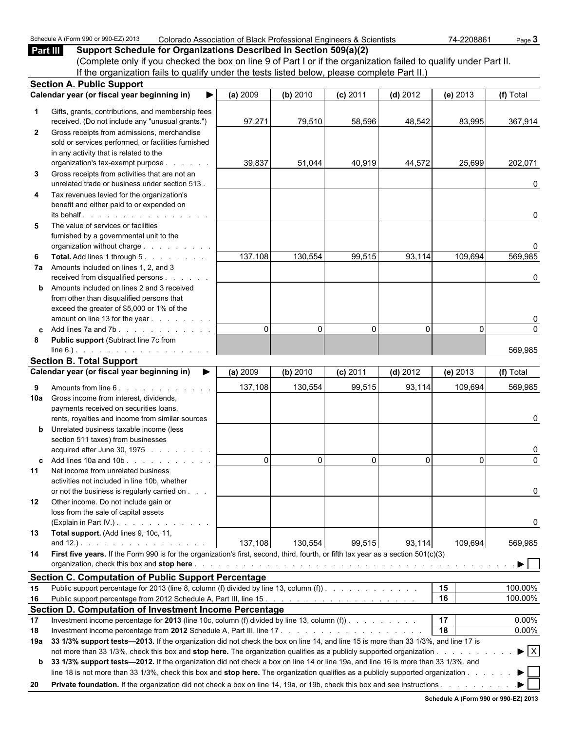|              | Schedule A (Form 990 or 990-EZ) 2013<br>Colorado Association of Black Professional Engineers & Scientists                                                                                                                                                   |          |          |            |            | 74-2208861 | Page 3                         |
|--------------|-------------------------------------------------------------------------------------------------------------------------------------------------------------------------------------------------------------------------------------------------------------|----------|----------|------------|------------|------------|--------------------------------|
| Part III     | Support Schedule for Organizations Described in Section 509(a)(2)                                                                                                                                                                                           |          |          |            |            |            |                                |
|              | (Complete only if you checked the box on line 9 of Part I or if the organization failed to qualify under Part II.                                                                                                                                           |          |          |            |            |            |                                |
|              | If the organization fails to qualify under the tests listed below, please complete Part II.)                                                                                                                                                                |          |          |            |            |            |                                |
|              | <b>Section A. Public Support</b><br>Calendar year (or fiscal year beginning in)                                                                                                                                                                             |          |          |            |            |            |                                |
|              |                                                                                                                                                                                                                                                             | (a) 2009 | (b) 2010 | $(c)$ 2011 | $(d)$ 2012 | (e) 2013   | (f) Total                      |
| 1.           | Gifts, grants, contributions, and membership fees                                                                                                                                                                                                           |          |          |            |            |            |                                |
|              | received. (Do not include any "unusual grants.")                                                                                                                                                                                                            | 97,271   | 79,510   | 58,596     | 48,542     | 83,995     | 367,914                        |
| $\mathbf{2}$ | Gross receipts from admissions, merchandise                                                                                                                                                                                                                 |          |          |            |            |            |                                |
|              | sold or services performed, or facilities furnished<br>in any activity that is related to the                                                                                                                                                               |          |          |            |            |            |                                |
|              | organization's tax-exempt purpose                                                                                                                                                                                                                           | 39,837   | 51,044   | 40,919     | 44,572     | 25,699     | 202,071                        |
| 3            | Gross receipts from activities that are not an                                                                                                                                                                                                              |          |          |            |            |            |                                |
|              | unrelated trade or business under section 513.                                                                                                                                                                                                              |          |          |            |            |            | 0                              |
| 4            | Tax revenues levied for the organization's                                                                                                                                                                                                                  |          |          |            |            |            |                                |
|              | benefit and either paid to or expended on                                                                                                                                                                                                                   |          |          |            |            |            |                                |
|              | its behalf entitled and the set of the set of the set of the set of the set of the set of the set of the set of the set of the set of the set of the set of the set of the set of the set of the set of the set of the set of                               |          |          |            |            |            | $\Omega$                       |
| 5            | The value of services or facilities                                                                                                                                                                                                                         |          |          |            |            |            |                                |
|              | furnished by a governmental unit to the                                                                                                                                                                                                                     |          |          |            |            |            | n                              |
| 6            | organization without charge<br>Total. Add lines 1 through 5.                                                                                                                                                                                                | 137,108  | 130,554  | 99,515     | 93,114     | 109,694    | 569,985                        |
| 7а           | Amounts included on lines 1, 2, and 3                                                                                                                                                                                                                       |          |          |            |            |            |                                |
|              | received from disqualified persons                                                                                                                                                                                                                          |          |          |            |            |            | 0                              |
| b            | Amounts included on lines 2 and 3 received                                                                                                                                                                                                                  |          |          |            |            |            |                                |
|              | from other than disqualified persons that                                                                                                                                                                                                                   |          |          |            |            |            |                                |
|              | exceed the greater of \$5,000 or 1% of the                                                                                                                                                                                                                  |          |          |            |            |            |                                |
|              | amount on line 13 for the year                                                                                                                                                                                                                              |          |          |            |            |            | 0                              |
|              |                                                                                                                                                                                                                                                             | $\Omega$ | $\Omega$ | $\Omega$   | 0          | $\Omega$   | $\Omega$                       |
| 8            | Public support (Subtract line 7c from                                                                                                                                                                                                                       |          |          |            |            |            | 569,985                        |
|              | $line 6.)$ . . <u>.</u><br><b>Section B. Total Support</b>                                                                                                                                                                                                  |          |          |            |            |            |                                |
|              | Calendar year (or fiscal year beginning in)                                                                                                                                                                                                                 | (a) 2009 | (b) 2010 | $(c)$ 2011 | $(d)$ 2012 | (e) 2013   | (f) Total                      |
|              |                                                                                                                                                                                                                                                             |          | 130,554  |            |            |            |                                |
| 9            |                                                                                                                                                                                                                                                             |          |          | 99,515     | 93,114     | 109,694    | 569,985                        |
|              | Amounts from line 6.                                                                                                                                                                                                                                        | 137,108  |          |            |            |            |                                |
| 10a          | Gross income from interest, dividends,                                                                                                                                                                                                                      |          |          |            |            |            |                                |
|              | payments received on securities loans,                                                                                                                                                                                                                      |          |          |            |            |            |                                |
| b            | rents, royalties and income from similar sources                                                                                                                                                                                                            |          |          |            |            |            | $\mathbf{0}$                   |
|              | Unrelated business taxable income (less<br>section 511 taxes) from businesses                                                                                                                                                                               |          |          |            |            |            |                                |
|              | acquired after June 30, 1975 $\ldots$                                                                                                                                                                                                                       |          |          |            |            |            | 0                              |
|              | Add lines 10a and 10b. $\ldots$ , $\ldots$ , $\ldots$                                                                                                                                                                                                       | $\Omega$ | 0        | $\Omega$   | $\Omega$   |            | $\Omega$                       |
| 11           | Net income from unrelated business                                                                                                                                                                                                                          |          |          |            |            |            |                                |
|              | activities not included in line 10b, whether                                                                                                                                                                                                                |          |          |            |            |            |                                |
|              | or not the business is regularly carried on                                                                                                                                                                                                                 |          |          |            |            |            | $\mathbf{0}$                   |
| 12           | Other income. Do not include gain or                                                                                                                                                                                                                        |          |          |            |            |            |                                |
|              | loss from the sale of capital assets                                                                                                                                                                                                                        |          |          |            |            |            |                                |
|              | (Explain in Part IV.)                                                                                                                                                                                                                                       |          |          |            |            |            | 0                              |
| 13           | Total support. (Add lines 9, 10c, 11,                                                                                                                                                                                                                       |          |          |            |            |            |                                |
|              | and $12.$ ). $\ldots$ $\ldots$ $\ldots$ $\ldots$ $\ldots$                                                                                                                                                                                                   | 137,108  | 130,554  | 99,515     | 93,114     | 109,694    | 569,985                        |
| 14           | First five years. If the Form 990 is for the organization's first, second, third, fourth, or fifth tax year as a section 501(c)(3)                                                                                                                          |          |          |            |            |            |                                |
|              |                                                                                                                                                                                                                                                             |          |          |            |            |            |                                |
|              | <b>Section C. Computation of Public Support Percentage</b>                                                                                                                                                                                                  |          |          |            |            |            |                                |
| 15<br>16     | Public support percentage for 2013 (line 8, column (f) divided by line 13, column (f)).                                                                                                                                                                     |          |          |            |            | 15<br>16   | 100.00%<br>100.00%             |
|              |                                                                                                                                                                                                                                                             |          |          |            |            |            |                                |
| 17           | Section D. Computation of Investment Income Percentage<br>Investment income percentage for 2013 (line 10c, column (f) divided by line 13, column (f) $\ldots$                                                                                               |          |          |            |            | 17         | $0.00\%$                       |
| 18           |                                                                                                                                                                                                                                                             |          |          |            |            | 18         | $0.00\%$                       |
| 19а          | 33 1/3% support tests-2013. If the organization did not check the box on line 14, and line 15 is more than 33 1/3%, and line 17 is                                                                                                                          |          |          |            |            |            |                                |
|              | not more than 33 1/3%, check this box and stop here. The organization qualifies as a publicly supported organization.                                                                                                                                       |          |          |            |            |            | $\blacktriangleright$ $\mid$ X |
| b            | 33 1/3% support tests-2012. If the organization did not check a box on line 14 or line 19a, and line 16 is more than 33 1/3%, and                                                                                                                           |          |          |            |            |            |                                |
|              | line 18 is not more than 33 1/3%, check this box and stop here. The organization qualifies as a publicly supported organization<br>Private foundation. If the organization did not check a box on line 14, 19a, or 19b, check this box and see instructions |          |          |            |            |            |                                |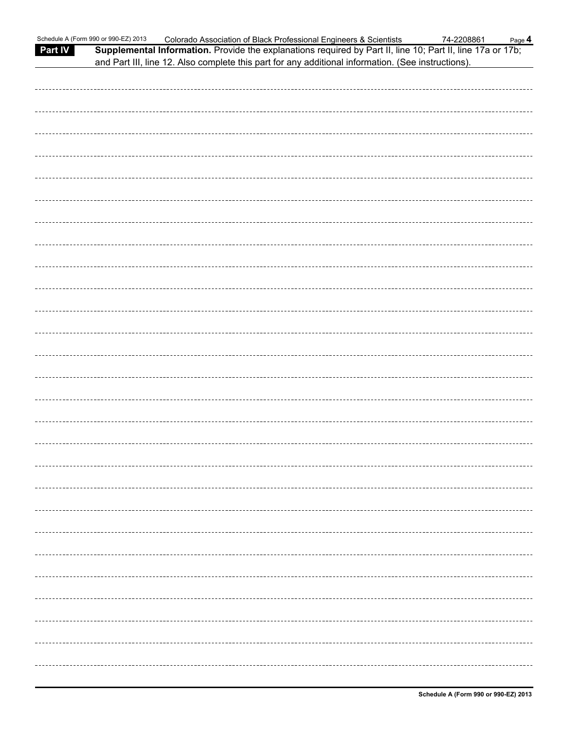| <b>Part IV</b> | Schedule A (Form 990 or 990-EZ) 2013<br>Supplemental Information. Provide the explanations required by Part II, line 10; Part II, line 17a or 17b;<br>and Part III, line 12. Also complete this part for any additional information. (See instructions). | Colorado Association of Black Professional Engineers & Scientists |  | 74-2208861 | Page 4 |
|----------------|----------------------------------------------------------------------------------------------------------------------------------------------------------------------------------------------------------------------------------------------------------|-------------------------------------------------------------------|--|------------|--------|
|                |                                                                                                                                                                                                                                                          |                                                                   |  |            |        |
|                |                                                                                                                                                                                                                                                          |                                                                   |  |            |        |
|                |                                                                                                                                                                                                                                                          |                                                                   |  |            |        |
|                |                                                                                                                                                                                                                                                          |                                                                   |  |            |        |
|                |                                                                                                                                                                                                                                                          |                                                                   |  |            |        |
|                |                                                                                                                                                                                                                                                          |                                                                   |  |            |        |
|                |                                                                                                                                                                                                                                                          |                                                                   |  |            |        |
|                |                                                                                                                                                                                                                                                          |                                                                   |  |            |        |
|                |                                                                                                                                                                                                                                                          |                                                                   |  |            |        |
|                |                                                                                                                                                                                                                                                          |                                                                   |  |            |        |
|                |                                                                                                                                                                                                                                                          |                                                                   |  |            |        |
|                |                                                                                                                                                                                                                                                          |                                                                   |  |            |        |
|                |                                                                                                                                                                                                                                                          |                                                                   |  |            |        |
|                |                                                                                                                                                                                                                                                          |                                                                   |  |            |        |
|                |                                                                                                                                                                                                                                                          |                                                                   |  |            |        |
|                |                                                                                                                                                                                                                                                          |                                                                   |  |            |        |
|                |                                                                                                                                                                                                                                                          |                                                                   |  |            |        |
|                |                                                                                                                                                                                                                                                          |                                                                   |  |            |        |
|                |                                                                                                                                                                                                                                                          |                                                                   |  |            |        |
|                |                                                                                                                                                                                                                                                          |                                                                   |  |            |        |
|                |                                                                                                                                                                                                                                                          |                                                                   |  |            |        |
|                |                                                                                                                                                                                                                                                          |                                                                   |  |            |        |
|                |                                                                                                                                                                                                                                                          |                                                                   |  |            |        |
|                |                                                                                                                                                                                                                                                          |                                                                   |  |            |        |
|                |                                                                                                                                                                                                                                                          |                                                                   |  |            |        |
|                |                                                                                                                                                                                                                                                          |                                                                   |  |            |        |
|                |                                                                                                                                                                                                                                                          |                                                                   |  |            |        |
|                |                                                                                                                                                                                                                                                          |                                                                   |  |            |        |
|                |                                                                                                                                                                                                                                                          |                                                                   |  |            |        |
|                |                                                                                                                                                                                                                                                          |                                                                   |  |            |        |
|                |                                                                                                                                                                                                                                                          |                                                                   |  |            |        |
|                |                                                                                                                                                                                                                                                          |                                                                   |  |            |        |
|                |                                                                                                                                                                                                                                                          |                                                                   |  |            |        |
|                |                                                                                                                                                                                                                                                          |                                                                   |  |            |        |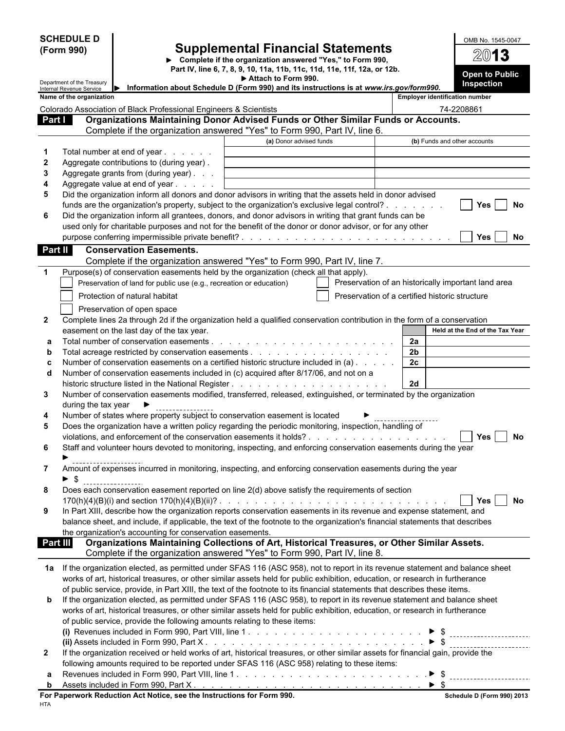|                    | <b>SCHEDULE D</b>                                    |                                                                                                                                                                                                                                                       |                                                                                                                                       |                | OMB No. 1545-0047                                   |
|--------------------|------------------------------------------------------|-------------------------------------------------------------------------------------------------------------------------------------------------------------------------------------------------------------------------------------------------------|---------------------------------------------------------------------------------------------------------------------------------------|----------------|-----------------------------------------------------|
|                    | (Form 990)                                           |                                                                                                                                                                                                                                                       | <b>Supplemental Financial Statements</b>                                                                                              |                | 2013                                                |
|                    |                                                      |                                                                                                                                                                                                                                                       | Complete if the organization answered "Yes," to Form 990,<br>Part IV, line 6, 7, 8, 9, 10, 11a, 11b, 11c, 11d, 11e, 11f, 12a, or 12b. |                |                                                     |
|                    | Department of the Treasury                           |                                                                                                                                                                                                                                                       | Attach to Form 990.                                                                                                                   |                | Open to Public<br>Inspection                        |
|                    | Internal Revenue Service<br>Name of the organization | Information about Schedule D (Form 990) and its instructions is at www.irs.gov/form990.                                                                                                                                                               |                                                                                                                                       |                | <b>Employer identification number</b>               |
|                    |                                                      | Colorado Association of Black Professional Engineers & Scientists                                                                                                                                                                                     |                                                                                                                                       |                | 74-2208861                                          |
| Part I             |                                                      | Organizations Maintaining Donor Advised Funds or Other Similar Funds or Accounts.                                                                                                                                                                     |                                                                                                                                       |                |                                                     |
|                    |                                                      | Complete if the organization answered "Yes" to Form 990, Part IV, line 6.                                                                                                                                                                             |                                                                                                                                       |                |                                                     |
|                    |                                                      |                                                                                                                                                                                                                                                       | (a) Donor advised funds                                                                                                               |                | (b) Funds and other accounts                        |
| -1<br>$\mathbf{2}$ |                                                      | Total number at end of year<br>Aggregate contributions to (during year).                                                                                                                                                                              |                                                                                                                                       |                |                                                     |
| 3                  |                                                      | Aggregate grants from (during year)                                                                                                                                                                                                                   |                                                                                                                                       |                |                                                     |
| 4                  |                                                      | Aggregate value at end of year                                                                                                                                                                                                                        |                                                                                                                                       |                |                                                     |
| 5                  |                                                      | Did the organization inform all donors and donor advisors in writing that the assets held in donor advised                                                                                                                                            |                                                                                                                                       |                |                                                     |
|                    |                                                      | funds are the organization's property, subject to the organization's exclusive legal control?                                                                                                                                                         |                                                                                                                                       |                | No<br>Yes                                           |
| 6                  |                                                      | Did the organization inform all grantees, donors, and donor advisors in writing that grant funds can be<br>used only for charitable purposes and not for the benefit of the donor or donor advisor, or for any other                                  |                                                                                                                                       |                |                                                     |
|                    |                                                      |                                                                                                                                                                                                                                                       |                                                                                                                                       |                | Yes<br>No                                           |
| Part II            |                                                      | <b>Conservation Easements.</b>                                                                                                                                                                                                                        |                                                                                                                                       |                |                                                     |
|                    |                                                      | Complete if the organization answered "Yes" to Form 990, Part IV, line 7.                                                                                                                                                                             |                                                                                                                                       |                |                                                     |
| $\mathbf 1$        |                                                      | Purpose(s) of conservation easements held by the organization (check all that apply).                                                                                                                                                                 |                                                                                                                                       |                |                                                     |
|                    |                                                      | Preservation of land for public use (e.g., recreation or education)                                                                                                                                                                                   |                                                                                                                                       |                | Preservation of an historically important land area |
|                    |                                                      | Protection of natural habitat                                                                                                                                                                                                                         |                                                                                                                                       |                | Preservation of a certified historic structure      |
|                    |                                                      | Preservation of open space                                                                                                                                                                                                                            |                                                                                                                                       |                |                                                     |
| $\mathbf{2}$       |                                                      | Complete lines 2a through 2d if the organization held a qualified conservation contribution in the form of a conservation<br>easement on the last day of the tax year.                                                                                |                                                                                                                                       |                | Held at the End of the Tax Year                     |
| a                  |                                                      |                                                                                                                                                                                                                                                       |                                                                                                                                       | 2a             |                                                     |
| b                  |                                                      |                                                                                                                                                                                                                                                       |                                                                                                                                       | 2 <sub>b</sub> |                                                     |
| c                  |                                                      | Number of conservation easements on a certified historic structure included in (a)                                                                                                                                                                    |                                                                                                                                       | 2c             |                                                     |
| d                  |                                                      | Number of conservation easements included in (c) acquired after 8/17/06, and not on a                                                                                                                                                                 |                                                                                                                                       |                |                                                     |
| 3                  |                                                      | Number of conservation easements modified, transferred, released, extinguished, or terminated by the organization                                                                                                                                     |                                                                                                                                       | 2d             |                                                     |
|                    | during the tax year                                  |                                                                                                                                                                                                                                                       |                                                                                                                                       |                |                                                     |
| 4                  |                                                      | Number of states where property subject to conservation easement is located                                                                                                                                                                           |                                                                                                                                       |                |                                                     |
| 5                  |                                                      | Does the organization have a written policy regarding the periodic monitoring, inspection, handling of                                                                                                                                                |                                                                                                                                       |                |                                                     |
|                    |                                                      |                                                                                                                                                                                                                                                       |                                                                                                                                       |                | Yes<br>No                                           |
| 6                  |                                                      | Staff and volunteer hours devoted to monitoring, inspecting, and enforcing conservation easements during the year                                                                                                                                     |                                                                                                                                       |                |                                                     |
| 7                  |                                                      | Amount of expenses incurred in monitoring, inspecting, and enforcing conservation easements during the year                                                                                                                                           |                                                                                                                                       |                |                                                     |
|                    | $\blacktriangleright$ \$                             |                                                                                                                                                                                                                                                       |                                                                                                                                       |                |                                                     |
| 8                  |                                                      | Does each conservation easement reported on line 2(d) above satisfy the requirements of section                                                                                                                                                       |                                                                                                                                       |                |                                                     |
|                    |                                                      |                                                                                                                                                                                                                                                       |                                                                                                                                       |                | <b>No</b><br>Yes                                    |
| 9                  |                                                      | In Part XIII, describe how the organization reports conservation easements in its revenue and expense statement, and<br>balance sheet, and include, if applicable, the text of the footnote to the organization's financial statements that describes |                                                                                                                                       |                |                                                     |
|                    |                                                      | the organization's accounting for conservation easements.                                                                                                                                                                                             |                                                                                                                                       |                |                                                     |
| <b>Part III</b>    |                                                      | Organizations Maintaining Collections of Art, Historical Treasures, or Other Similar Assets.                                                                                                                                                          |                                                                                                                                       |                |                                                     |
|                    |                                                      | Complete if the organization answered "Yes" to Form 990, Part IV, line 8.                                                                                                                                                                             |                                                                                                                                       |                |                                                     |
|                    |                                                      | 1a If the organization elected, as permitted under SFAS 116 (ASC 958), not to report in its revenue statement and balance sheet                                                                                                                       |                                                                                                                                       |                |                                                     |
|                    |                                                      | works of art, historical treasures, or other similar assets held for public exhibition, education, or research in furtherance                                                                                                                         |                                                                                                                                       |                |                                                     |
|                    |                                                      | of public service, provide, in Part XIII, the text of the footnote to its financial statements that describes these items.                                                                                                                            |                                                                                                                                       |                |                                                     |
| b                  |                                                      | If the organization elected, as permitted under SFAS 116 (ASC 958), to report in its revenue statement and balance sheet                                                                                                                              |                                                                                                                                       |                |                                                     |
|                    |                                                      | works of art, historical treasures, or other similar assets held for public exhibition, education, or research in furtherance<br>of public service, provide the following amounts relating to these items:                                            |                                                                                                                                       |                |                                                     |
|                    |                                                      |                                                                                                                                                                                                                                                       |                                                                                                                                       |                |                                                     |
|                    |                                                      |                                                                                                                                                                                                                                                       |                                                                                                                                       |                |                                                     |
| $\mathbf{2}$       |                                                      | If the organization received or held works of art, historical treasures, or other similar assets for financial gain, provide the                                                                                                                      |                                                                                                                                       |                |                                                     |
|                    |                                                      | following amounts required to be reported under SFAS 116 (ASC 958) relating to these items:                                                                                                                                                           |                                                                                                                                       |                |                                                     |
| a<br>b             |                                                      |                                                                                                                                                                                                                                                       |                                                                                                                                       |                |                                                     |
|                    |                                                      | For Paperwork Reduction Act Notice, see the Instructions for Form 990.                                                                                                                                                                                |                                                                                                                                       |                | <b>Schedule D (Form 990) 2013</b>                   |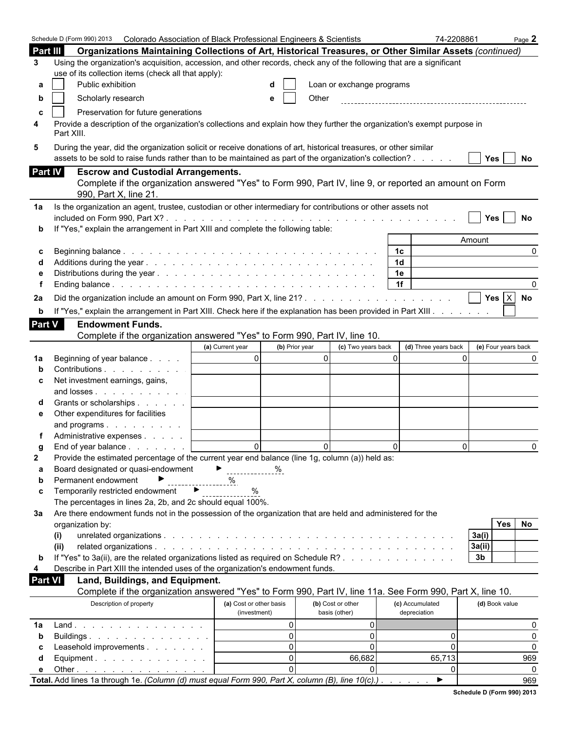|                | Schedule D (Form 990) 2013 Colorado Association of Black Professional Engineers & Scientists                                                                                                                                 |                         |                                      | 74-2208861           | Page 2                   |
|----------------|------------------------------------------------------------------------------------------------------------------------------------------------------------------------------------------------------------------------------|-------------------------|--------------------------------------|----------------------|--------------------------|
| Part III       | Organizations Maintaining Collections of Art, Historical Treasures, or Other Similar Assets (continued)                                                                                                                      |                         |                                      |                      |                          |
| 3              | Using the organization's acquisition, accession, and other records, check any of the following that are a significant                                                                                                        |                         |                                      |                      |                          |
|                | use of its collection items (check all that apply):                                                                                                                                                                          |                         |                                      |                      |                          |
| а              | Public exhibition                                                                                                                                                                                                            |                         | Loan or exchange programs            |                      |                          |
| b              | Scholarly research                                                                                                                                                                                                           | е                       | Other                                |                      |                          |
|                |                                                                                                                                                                                                                              |                         |                                      |                      |                          |
|                | Preservation for future generations                                                                                                                                                                                          |                         |                                      |                      |                          |
| 4              | Provide a description of the organization's collections and explain how they further the organization's exempt purpose in<br>Part XIII.                                                                                      |                         |                                      |                      |                          |
| 5              | During the year, did the organization solicit or receive donations of art, historical treasures, or other similar<br>assets to be sold to raise funds rather than to be maintained as part of the organization's collection? |                         |                                      |                      | Yes<br>No                |
| <b>Part IV</b> | <b>Escrow and Custodial Arrangements.</b>                                                                                                                                                                                    |                         |                                      |                      |                          |
|                | Complete if the organization answered "Yes" to Form 990, Part IV, line 9, or reported an amount on Form                                                                                                                      |                         |                                      |                      |                          |
|                | 990, Part X, line 21.                                                                                                                                                                                                        |                         |                                      |                      |                          |
| 1a             | Is the organization an agent, trustee, custodian or other intermediary for contributions or other assets not                                                                                                                 |                         |                                      |                      |                          |
|                |                                                                                                                                                                                                                              |                         |                                      |                      | Yes<br>No                |
|                | If "Yes," explain the arrangement in Part XIII and complete the following table:                                                                                                                                             |                         |                                      |                      |                          |
|                |                                                                                                                                                                                                                              |                         |                                      |                      | Amount                   |
| c              |                                                                                                                                                                                                                              |                         |                                      | 1 <sub>c</sub>       |                          |
|                |                                                                                                                                                                                                                              |                         |                                      | 1 <sub>d</sub>       |                          |
|                |                                                                                                                                                                                                                              |                         |                                      | 1e                   |                          |
|                |                                                                                                                                                                                                                              |                         |                                      | 1f                   |                          |
| 2a             |                                                                                                                                                                                                                              |                         |                                      |                      | Yes $X$ No               |
| b              | If "Yes," explain the arrangement in Part XIII. Check here if the explanation has been provided in Part XIII.                                                                                                                |                         |                                      |                      |                          |
| Part V         | <b>Endowment Funds.</b>                                                                                                                                                                                                      |                         |                                      |                      |                          |
|                | Complete if the organization answered "Yes" to Form 990, Part IV, line 10.                                                                                                                                                   |                         |                                      |                      |                          |
|                |                                                                                                                                                                                                                              | (a) Current year        | (c) Two years back<br>(b) Prior year | (d) Three years back | (e) Four years back      |
| 1a             | Beginning of year balance                                                                                                                                                                                                    | $\Omega$                | $\mathbf{0}$                         | $\Omega$             | $\Omega$                 |
|                | Contributions                                                                                                                                                                                                                |                         |                                      |                      |                          |
| c              | Net investment earnings, gains,                                                                                                                                                                                              |                         |                                      |                      |                          |
|                | and losses                                                                                                                                                                                                                   |                         |                                      |                      |                          |
|                | Grants or scholarships                                                                                                                                                                                                       |                         |                                      |                      |                          |
| е              | Other expenditures for facilities                                                                                                                                                                                            |                         |                                      |                      |                          |
|                | and programs                                                                                                                                                                                                                 |                         |                                      |                      |                          |
|                | Administrative expenses                                                                                                                                                                                                      |                         |                                      |                      |                          |
| g              | End of year balance                                                                                                                                                                                                          | $\Omega$                | $\Omega$                             | $\Omega$             | $\Omega$<br><sup>0</sup> |
| 2              | Provide the estimated percentage of the current year end balance (line 1g, column (a)) held as:                                                                                                                              |                         |                                      |                      |                          |
| а              | Board designated or quasi-endowment                                                                                                                                                                                          | ▶<br>%                  |                                      |                      |                          |
| b              | Permanent endowment                                                                                                                                                                                                          | ℅                       |                                      |                      |                          |
| c              | Temporarily restricted endowment                                                                                                                                                                                             | ▸<br>%                  |                                      |                      |                          |
|                | The percentages in lines 2a, 2b, and 2c should equal 100%.                                                                                                                                                                   |                         |                                      |                      |                          |
| За             | Are there endowment funds not in the possession of the organization that are held and administered for the                                                                                                                   |                         |                                      |                      |                          |
|                | organization by:                                                                                                                                                                                                             |                         |                                      |                      | <b>Yes</b><br>No         |
|                | (i)                                                                                                                                                                                                                          |                         |                                      |                      | 3a(i)                    |
|                | (ii)                                                                                                                                                                                                                         |                         |                                      |                      | 3a(ii)                   |
| b              | If "Yes" to 3a(ii), are the related organizations listed as required on Schedule R?                                                                                                                                          |                         |                                      |                      | 3 <sub>b</sub>           |
| 4              | Describe in Part XIII the intended uses of the organization's endowment funds.                                                                                                                                               |                         |                                      |                      |                          |
| <b>Part VI</b> | Land, Buildings, and Equipment.                                                                                                                                                                                              |                         |                                      |                      |                          |
|                | Complete if the organization answered "Yes" to Form 990, Part IV, line 11a. See Form 990, Part X, line 10.                                                                                                                   |                         |                                      |                      |                          |
|                | Description of property                                                                                                                                                                                                      | (a) Cost or other basis | (b) Cost or other                    | (c) Accumulated      | (d) Book value           |
|                |                                                                                                                                                                                                                              | (investment)            | basis (other)                        | depreciation         |                          |
| 1a             | Land.                                                                                                                                                                                                                        |                         | $\Omega$<br>0                        |                      | 0                        |
| $\mathbf b$    | Buildings                                                                                                                                                                                                                    |                         | $\overline{0}$<br>0                  | 0                    | $\Omega$                 |
| с              | Leasehold improvements                                                                                                                                                                                                       |                         | $\Omega$<br>0                        | $\mathbf 0$          | $\Omega$                 |
| d              | Equipment.                                                                                                                                                                                                                   |                         | $\Omega$<br>66,682                   | 65,713               | 969                      |
| е              | Other $\ldots$ $\ldots$ $\ldots$ $\ldots$ $\ldots$ $\ldots$                                                                                                                                                                  |                         | $\Omega$<br>0                        | $\Omega$             | $\Omega$                 |
|                | Total. Add lines 1a through 1e. (Column (d) must equal Form 990, Part X, column (B), line 10(c).)                                                                                                                            |                         |                                      | ▶                    | 969                      |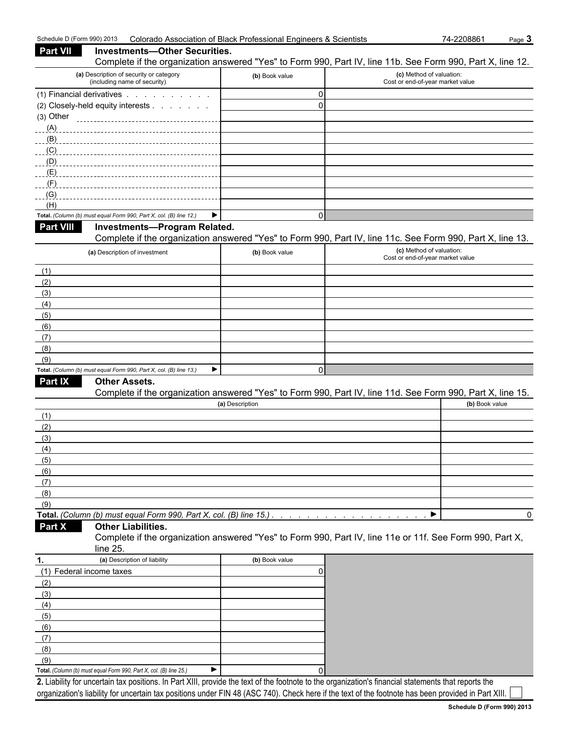| Schedule D (Form 990) 2013 |                                                                                                                                                     | Colorado Association of Black Professional Engineers & Scientists | 74-2208861                                                   | Page 3 |
|----------------------------|-----------------------------------------------------------------------------------------------------------------------------------------------------|-------------------------------------------------------------------|--------------------------------------------------------------|--------|
| <b>Part VII</b>            | <b>Investments-Other Securities.</b><br>Complete if the organization answered "Yes" to Form 990, Part IV, line 11b. See Form 990, Part X, line 12.  |                                                                   |                                                              |        |
|                            | (a) Description of security or category<br>(including name of security)                                                                             | (b) Book value                                                    | (c) Method of valuation:<br>Cost or end-of-year market value |        |
|                            | (1) Financial derivatives                                                                                                                           | 0                                                                 |                                                              |        |
| $(3)$ Other                | (2) Closely-held equity interests<br>----------------------------------                                                                             | $\mathbf{0}$                                                      |                                                              |        |
| (A)                        |                                                                                                                                                     |                                                                   |                                                              |        |
| (B)                        |                                                                                                                                                     |                                                                   |                                                              |        |
| (C)                        |                                                                                                                                                     |                                                                   |                                                              |        |
| (D)                        |                                                                                                                                                     |                                                                   |                                                              |        |
| (E)                        |                                                                                                                                                     |                                                                   |                                                              |        |
| (F)                        |                                                                                                                                                     |                                                                   |                                                              |        |
| (G)                        |                                                                                                                                                     |                                                                   |                                                              |        |
| (H)                        | ▶<br>Total. (Column (b) must equal Form 990, Part X, col. (B) line 12.)                                                                             | $\Omega$                                                          |                                                              |        |
| <b>Part VIII</b>           | Investments-Program Related.                                                                                                                        |                                                                   |                                                              |        |
|                            | Complete if the organization answered "Yes" to Form 990, Part IV, line 11c. See Form 990, Part X, line 13.                                          |                                                                   |                                                              |        |
|                            | (a) Description of investment                                                                                                                       | (b) Book value                                                    | (c) Method of valuation:<br>Cost or end-of-year market value |        |
|                            |                                                                                                                                                     |                                                                   |                                                              |        |
| (1)                        |                                                                                                                                                     |                                                                   |                                                              |        |
| (2)<br>(3)                 |                                                                                                                                                     |                                                                   |                                                              |        |
| (4)                        |                                                                                                                                                     |                                                                   |                                                              |        |
| (5)                        |                                                                                                                                                     |                                                                   |                                                              |        |
| (6)                        |                                                                                                                                                     |                                                                   |                                                              |        |
| (7)                        |                                                                                                                                                     |                                                                   |                                                              |        |
| (8)                        |                                                                                                                                                     |                                                                   |                                                              |        |
| (9)                        |                                                                                                                                                     |                                                                   |                                                              |        |
|                            | Total. (Column (b) must equal Form 990, Part X, col. (B) line 13.)<br>▶                                                                             | $\mathbf{0}$                                                      |                                                              |        |
| Part IX                    | <b>Other Assets.</b>                                                                                                                                |                                                                   |                                                              |        |
|                            | Complete if the organization answered "Yes" to Form 990, Part IV, line 11d. See Form 990, Part X, line 15.                                          |                                                                   |                                                              |        |
|                            |                                                                                                                                                     | (a) Description                                                   | (b) Book value                                               |        |
| (1)                        |                                                                                                                                                     |                                                                   |                                                              |        |
| (2)<br>(3)                 |                                                                                                                                                     |                                                                   |                                                              |        |
| (4)                        |                                                                                                                                                     |                                                                   |                                                              |        |
| (5)                        |                                                                                                                                                     |                                                                   |                                                              |        |
| (6)                        |                                                                                                                                                     |                                                                   |                                                              |        |
| (7)                        |                                                                                                                                                     |                                                                   |                                                              |        |
| (8)                        |                                                                                                                                                     |                                                                   |                                                              |        |
| (9)                        |                                                                                                                                                     |                                                                   |                                                              |        |
|                            | Total. (Column (b) must equal Form 990, Part X, col. (B) line 15.)                                                                                  |                                                                   | ▶                                                            | 0      |
| <b>Part X</b>              | <b>Other Liabilities.</b><br>Complete if the organization answered "Yes" to Form 990, Part IV, line 11e or 11f. See Form 990, Part X,<br>line 25.   |                                                                   |                                                              |        |
| 1.                         | (a) Description of liability                                                                                                                        | (b) Book value                                                    |                                                              |        |
|                            | (1) Federal income taxes                                                                                                                            | 0                                                                 |                                                              |        |
| (2)                        |                                                                                                                                                     |                                                                   |                                                              |        |
| (3)                        |                                                                                                                                                     |                                                                   |                                                              |        |
| (4)                        |                                                                                                                                                     |                                                                   |                                                              |        |
| (5)                        |                                                                                                                                                     |                                                                   |                                                              |        |
| (6)                        |                                                                                                                                                     |                                                                   |                                                              |        |
| (7)                        |                                                                                                                                                     |                                                                   |                                                              |        |
| (8)                        |                                                                                                                                                     |                                                                   |                                                              |        |
| (9)                        | ▶<br>Total. (Column (b) must equal Form 990, Part X, col. (B) line 25.)                                                                             | 0                                                                 |                                                              |        |
|                            | 2 Liability for uncertain tax positions. In Part XIII, provide the text of the footnote to the organization's financial statements that reports the |                                                                   |                                                              |        |

**2.** Liability for uncertain tax positions. In Part XIII, provide the text of the footnote to the organization's financial statements that reports the organization's liability for uncertain tax positions under FIN 48 (ASC 740). Check here if the text of the footnote has been provided in Part XIII.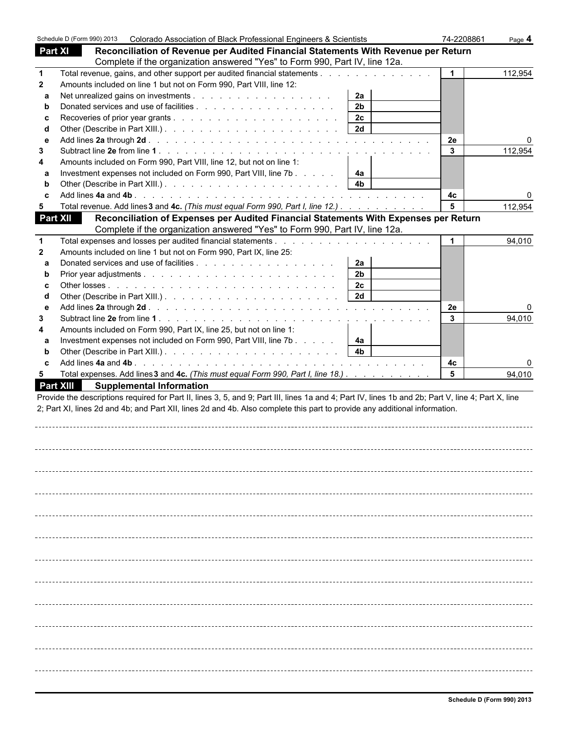|                 | Schedule D (Form 990) 2013 | Colorado Association of Black Professional Engineers & Scientists                                                                                  |                | 74-2208861   | Page 4  |
|-----------------|----------------------------|----------------------------------------------------------------------------------------------------------------------------------------------------|----------------|--------------|---------|
| <b>Part XI</b>  |                            | Reconciliation of Revenue per Audited Financial Statements With Revenue per Return                                                                 |                |              |         |
|                 |                            | Complete if the organization answered "Yes" to Form 990, Part IV, line 12a.                                                                        |                |              |         |
| $\mathbf{1}$    |                            | Total revenue, gains, and other support per audited financial statements                                                                           |                |              | 112,954 |
| $\mathbf{2}$    |                            | Amounts included on line 1 but not on Form 990, Part VIII, line 12:                                                                                |                |              |         |
| a               |                            |                                                                                                                                                    | 2a             |              |         |
| b               |                            |                                                                                                                                                    | 2 <sub>b</sub> |              |         |
| C               |                            |                                                                                                                                                    | 2c             |              |         |
| d               |                            |                                                                                                                                                    |                |              |         |
| $\mathbf{e}$    |                            |                                                                                                                                                    |                | 2e           |         |
| 3               |                            |                                                                                                                                                    |                | $\mathbf{3}$ | 112,954 |
| 4               |                            | Amounts included on Form 990, Part VIII, line 12, but not on line 1:                                                                               |                |              |         |
| a               |                            | Investment expenses not included on Form 990, Part VIII, line 7b                                                                                   | 4a             |              |         |
| b               |                            |                                                                                                                                                    | 4 <sub>b</sub> |              |         |
| c               |                            |                                                                                                                                                    |                | 4c           |         |
| 5               |                            | Total revenue. Add lines 3 and 4c. (This must equal Form 990, Part I, line 12.)                                                                    |                | 5            | 112,954 |
| <b>Part XII</b> |                            | Reconciliation of Expenses per Audited Financial Statements With Expenses per Return                                                               |                |              |         |
|                 |                            | Complete if the organization answered "Yes" to Form 990, Part IV, line 12a.                                                                        |                |              |         |
| $\mathbf{1}$    |                            |                                                                                                                                                    |                |              | 94,010  |
| $\mathbf{2}$    |                            | Amounts included on line 1 but not on Form 990, Part IX, line 25:                                                                                  |                |              |         |
| a               |                            |                                                                                                                                                    | 2a             |              |         |
| b               |                            |                                                                                                                                                    | 2 <sub>b</sub> |              |         |
| C               |                            |                                                                                                                                                    | 2c             |              |         |
| d               |                            |                                                                                                                                                    | 2d             |              |         |
| е               |                            |                                                                                                                                                    |                | 2e           |         |
| 3               |                            |                                                                                                                                                    |                | $\mathbf{3}$ | 94,010  |
| 4               |                            | Amounts included on Form 990, Part IX, line 25, but not on line 1:                                                                                 |                |              |         |
| a               |                            | Investment expenses not included on Form 990, Part VIII, line 7b                                                                                   | 4а             |              |         |
| b               |                            |                                                                                                                                                    | 4 <sub>b</sub> |              |         |
| C               |                            |                                                                                                                                                    |                | 4c           |         |
| 5               |                            | Total expenses. Add lines 3 and 4c. (This must equal Form 990, Part I, line 18.)                                                                   |                | 5            | 94,010  |
|                 | <b>Part XIII</b>           | <b>Supplemental Information</b>                                                                                                                    |                |              |         |
|                 |                            | Provide the descriptions required for Part II, lines 3, 5, and 9; Part III, lines 1a and 4; Part IV, lines 1b and 2b; Part V, line 4; Part X, line |                |              |         |
|                 |                            | 2; Part XI, lines 2d and 4b; and Part XII, lines 2d and 4b. Also complete this part to provide any additional information.                         |                |              |         |
|                 |                            |                                                                                                                                                    |                |              |         |
|                 |                            |                                                                                                                                                    |                |              |         |
|                 |                            |                                                                                                                                                    |                |              |         |
|                 |                            |                                                                                                                                                    |                |              |         |
|                 |                            |                                                                                                                                                    |                |              |         |
|                 |                            |                                                                                                                                                    |                |              |         |
|                 |                            |                                                                                                                                                    |                |              |         |
|                 |                            |                                                                                                                                                    |                |              |         |
|                 |                            |                                                                                                                                                    |                |              |         |
|                 |                            |                                                                                                                                                    |                |              |         |
|                 |                            |                                                                                                                                                    |                |              |         |
|                 |                            |                                                                                                                                                    |                |              |         |
|                 |                            |                                                                                                                                                    |                |              |         |
|                 |                            |                                                                                                                                                    |                |              |         |
|                 |                            |                                                                                                                                                    |                |              |         |
|                 |                            |                                                                                                                                                    |                |              |         |
|                 |                            |                                                                                                                                                    |                |              |         |
|                 |                            |                                                                                                                                                    |                |              |         |
|                 |                            |                                                                                                                                                    |                |              |         |
|                 |                            |                                                                                                                                                    |                |              |         |
|                 |                            |                                                                                                                                                    |                |              |         |
|                 |                            |                                                                                                                                                    |                |              |         |
|                 |                            |                                                                                                                                                    |                |              |         |
|                 |                            |                                                                                                                                                    |                |              |         |
|                 |                            |                                                                                                                                                    |                |              |         |
|                 |                            |                                                                                                                                                    |                |              |         |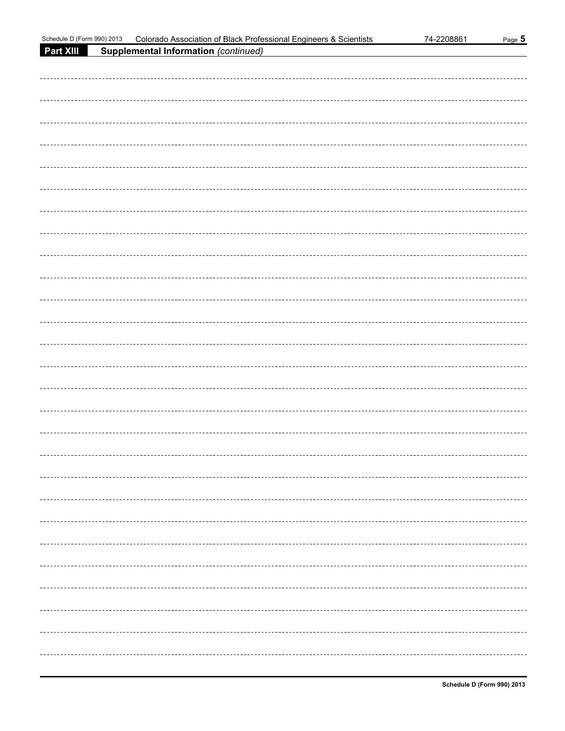| Schedule D (Form 990) 2013 | Colorado Association of Black Professional Engineers & Scientists | 74-2208861 | Page 5 |
|----------------------------|-------------------------------------------------------------------|------------|--------|
| Part XIII                  | <b>Supplemental Information (continued)</b>                       |            |        |
|                            |                                                                   |            |        |
|                            |                                                                   |            |        |
|                            |                                                                   |            |        |
|                            |                                                                   |            |        |
|                            |                                                                   |            |        |
|                            |                                                                   |            |        |
|                            |                                                                   |            |        |
|                            |                                                                   |            |        |
|                            |                                                                   |            |        |
|                            |                                                                   |            |        |
|                            |                                                                   |            |        |
|                            |                                                                   |            |        |
|                            |                                                                   |            |        |
|                            |                                                                   |            |        |
|                            |                                                                   |            |        |
|                            |                                                                   |            |        |
|                            |                                                                   |            |        |
|                            |                                                                   |            |        |
|                            |                                                                   |            |        |
|                            |                                                                   |            |        |
|                            |                                                                   |            |        |
|                            |                                                                   |            |        |
|                            |                                                                   |            |        |
|                            |                                                                   |            |        |
|                            |                                                                   |            |        |
|                            |                                                                   |            |        |
|                            |                                                                   |            |        |
|                            |                                                                   |            |        |
|                            |                                                                   |            |        |
|                            |                                                                   |            |        |
|                            |                                                                   |            |        |
|                            |                                                                   |            |        |
|                            |                                                                   |            |        |
|                            |                                                                   |            |        |
|                            |                                                                   |            |        |
|                            |                                                                   |            |        |
|                            |                                                                   |            |        |
|                            |                                                                   |            |        |
|                            |                                                                   |            |        |
|                            |                                                                   |            |        |
|                            |                                                                   |            |        |
|                            |                                                                   |            |        |
|                            |                                                                   |            |        |
|                            |                                                                   |            |        |
|                            |                                                                   |            |        |
|                            |                                                                   |            |        |
|                            |                                                                   |            |        |
|                            |                                                                   |            |        |
|                            |                                                                   |            |        |
|                            |                                                                   |            |        |
|                            |                                                                   |            |        |
|                            |                                                                   |            |        |
|                            |                                                                   |            |        |
|                            |                                                                   |            |        |
|                            |                                                                   |            |        |
|                            |                                                                   |            |        |
|                            |                                                                   |            |        |
|                            |                                                                   |            |        |
|                            |                                                                   |            |        |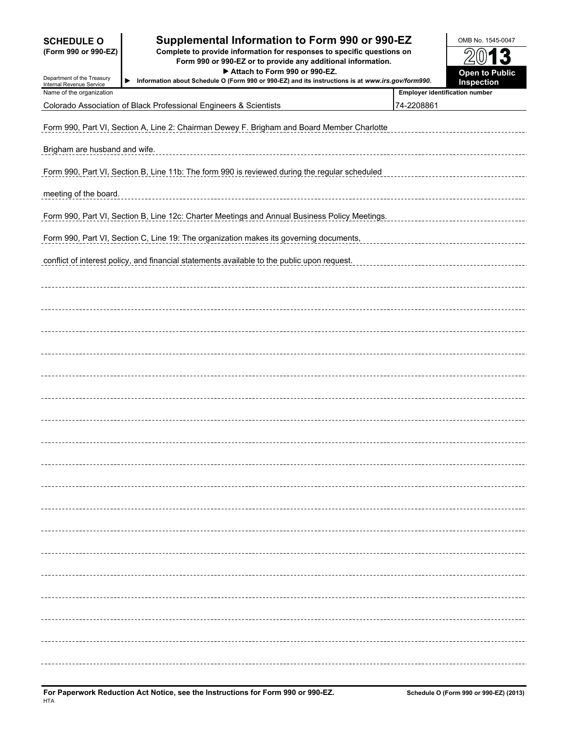| <b>SCHEDULE O</b><br>(Form 990 or 990-EZ)<br>Department of the Treasury<br>Internal Revenue Service | Supplemental Information to Form 990 or 990-EZ<br>Complete to provide information for responses to specific questions on<br>Form 990 or 990-EZ or to provide any additional information.<br>Attach to Form 990 or 990-EZ.<br>Information about Schedule O (Form 990 or 990-EZ) and its instructions is at www.irs.gov/form990.<br>▶ |                                       | OMB No. 1545-0047<br><b>Open to Public</b><br>Inspection |
|-----------------------------------------------------------------------------------------------------|-------------------------------------------------------------------------------------------------------------------------------------------------------------------------------------------------------------------------------------------------------------------------------------------------------------------------------------|---------------------------------------|----------------------------------------------------------|
| Name of the organization                                                                            |                                                                                                                                                                                                                                                                                                                                     | <b>Employer identification number</b> |                                                          |
|                                                                                                     | Colorado Association of Black Professional Engineers & Scientists                                                                                                                                                                                                                                                                   | 74-2208861                            |                                                          |
|                                                                                                     | Form 990, Part VI, Section A, Line 2: Chairman Dewey F. Brigham and Board Member Charlotte                                                                                                                                                                                                                                          |                                       |                                                          |
| Brigham are husband and wife.                                                                       |                                                                                                                                                                                                                                                                                                                                     |                                       |                                                          |
|                                                                                                     | Form 990, Part VI, Section B, Line 11b: The form 990 is reviewed during the regular scheduled                                                                                                                                                                                                                                       |                                       |                                                          |
| meeting of the board.                                                                               |                                                                                                                                                                                                                                                                                                                                     |                                       |                                                          |
|                                                                                                     | Form 990, Part VI, Section B, Line 12c: Charter Meetings and Annual Business Policy Meetings.                                                                                                                                                                                                                                       |                                       |                                                          |
|                                                                                                     | Form 990, Part VI, Section C, Line 19: The organization makes its governing documents,                                                                                                                                                                                                                                              |                                       |                                                          |
|                                                                                                     | conflict of interest policy, and financial statements available to the public upon request.                                                                                                                                                                                                                                         |                                       |                                                          |
|                                                                                                     |                                                                                                                                                                                                                                                                                                                                     |                                       |                                                          |
|                                                                                                     |                                                                                                                                                                                                                                                                                                                                     |                                       |                                                          |
|                                                                                                     |                                                                                                                                                                                                                                                                                                                                     |                                       |                                                          |
|                                                                                                     |                                                                                                                                                                                                                                                                                                                                     |                                       |                                                          |
|                                                                                                     |                                                                                                                                                                                                                                                                                                                                     |                                       |                                                          |
|                                                                                                     |                                                                                                                                                                                                                                                                                                                                     |                                       |                                                          |
|                                                                                                     |                                                                                                                                                                                                                                                                                                                                     |                                       |                                                          |
|                                                                                                     |                                                                                                                                                                                                                                                                                                                                     |                                       |                                                          |
|                                                                                                     |                                                                                                                                                                                                                                                                                                                                     |                                       |                                                          |
|                                                                                                     |                                                                                                                                                                                                                                                                                                                                     |                                       |                                                          |
|                                                                                                     |                                                                                                                                                                                                                                                                                                                                     |                                       |                                                          |
|                                                                                                     |                                                                                                                                                                                                                                                                                                                                     |                                       |                                                          |
|                                                                                                     |                                                                                                                                                                                                                                                                                                                                     |                                       |                                                          |
|                                                                                                     |                                                                                                                                                                                                                                                                                                                                     |                                       |                                                          |
|                                                                                                     |                                                                                                                                                                                                                                                                                                                                     |                                       |                                                          |
|                                                                                                     |                                                                                                                                                                                                                                                                                                                                     |                                       |                                                          |
|                                                                                                     |                                                                                                                                                                                                                                                                                                                                     |                                       |                                                          |
|                                                                                                     |                                                                                                                                                                                                                                                                                                                                     |                                       |                                                          |